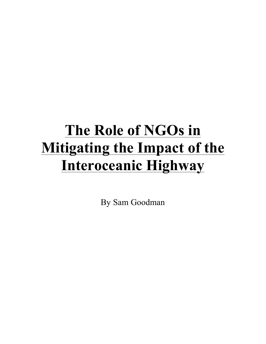# **The Role of NGOs in Mitigating the Impact of the Interoceanic Highway**

By Sam Goodman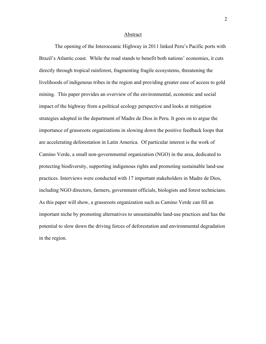#### Abstract

The opening of the Interoceanic Highway in 2011 linked Peru's Pacific ports with Brazil's Atlantic coast. While the road stands to benefit both nations' economies, it cuts directly through tropical rainforest, fragmenting fragile ecosystems, threatening the livelihoods of indigenous tribes in the region and providing greater ease of access to gold mining. This paper provides an overview of the environmental, economic and social impact of the highway from a political ecology perspective and looks at mitigation strategies adopted in the department of Madre de Dios in Peru. It goes on to argue the importance of grassroots organizations in slowing down the positive feedback loops that are accelerating deforestation in Latin America. Of particular interest is the work of Camino Verde, a small non-governmental organization (NGO) in the area, dedicated to protecting biodiversity, supporting indigenous rights and promoting sustainable land-use practices. Interviews were conducted with 17 important stakeholders in Madre de Dios, including NGO directors, farmers, government officials, biologists and forest technicians. As this paper will show, a grassroots organization such as Camino Verde can fill an important niche by promoting alternatives to unsustainable land-use practices and has the potential to slow down the driving forces of deforestation and environmental degradation in the region.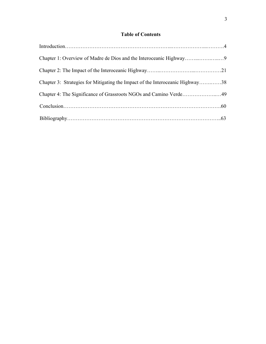# **Table of Contents**

| Chapter 3: Strategies for Mitigating the Impact of the Interoceanic Highway38 |  |
|-------------------------------------------------------------------------------|--|
| Chapter 4: The Significance of Grassroots NGOs and Camino Verde49             |  |
|                                                                               |  |
|                                                                               |  |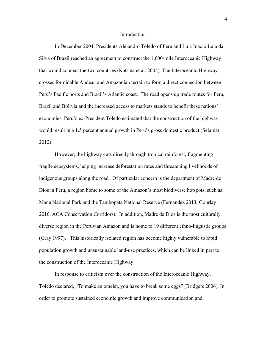#### Introduction

In December 2004, Presidents Alejandro Toledo of Peru and Luiz Inácio Lula da Silva of Brazil reached an agreement to construct the 1,600-mile Interoceanic Highway that would connect the two countries (Katrina et al. 2005). The Interoceanic Highway crosses formidable Andean and Amazonian terrain to form a direct connection between Peru's Pacific ports and Brazil's Atlantic coast. The road opens up trade routes for Peru, Brazil and Bolivia and the increased access to markets stands to benefit these nations' economies. Peru's ex-President Toledo estimated that the construction of the highway would result in a 1.5 percent annual growth in Peru's gross domestic product (Selamat 2012).

However, the highway cuts directly through tropical rainforest, fragmenting fragile ecosystems, helping increase deforestation rates and threatening livelihoods of indigenous groups along the road. Of particular concern is the department of Madre de Dios in Peru, a region home to some of the Amazon's most biodiverse hotspots, such as Manu National Park and the Tambopata National Reserve (Fernandez 2013, Gourlay 2010, ACA Conservation Corridors). In addition, Madre de Dios is the most culturally diverse region in the Peruvian Amazon and is home to 19 different ethno-lingustic groups (Gray 1997). This historically isolated region has become highly vulnerable to rapid population growth and unsustainable land-use practices, which can be linked in part to the construction of the Interoceanic Highway.

In response to criticism over the construction of the Interoceanic Highway, Toledo declared, "To make an omelet, you have to break some eggs" (Bridgers 2006). In order to promote sustained economic growth and improve communication and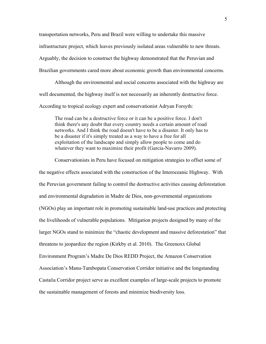transportation networks, Peru and Brazil were willing to undertake this massive infrastructure project, which leaves previously isolated areas vulnerable to new threats. Arguably, the decision to construct the highway demonstrated that the Peruvian and Brazilian governments cared more about economic growth than environmental concerns.

Although the environmental and social concerns associated with the highway are well documented, the highway itself is not necessarily an inherently destructive force. According to tropical ecology expert and conservationist Adryan Forsyth:

The road can be a destructive force or it can be a positive force. I don't think there's any doubt that every country needs a certain amount of road networks. And I think the road doesn't have to be a disaster. It only has to be a disaster if it's simply treated as a way to have a free for all exploitation of the landscape and simply allow people to come and do whatever they want to maximize their profit (Garcia-Navarro 2009).

Conservationists in Peru have focused on mitigation strategies to offset some of the negative effects associated with the construction of the Interoceanic Highway. With the Peruvian government failing to control the destructive activities causing deforestation and environmental degradation in Madre de Dios, non-governmental organizations (NGOs) play an important role in promoting sustainable land-use practices and protecting the livelihoods of vulnerable populations. Mitigation projects designed by many of the larger NGOs stand to minimize the "chaotic development and massive deforestation" that threatens to jeopardize the region (Kirkby et al. 2010). The Greenoxx Global Environment Program's Madre De Dios REDD Project, the Amazon Conservation Association's Manu-Tambopata Conservation Corridor initiative and the longstanding Castaña Corridor project serve as excellent examples of large-scale projects to promote the sustainable management of forests and minimize biodiversity loss.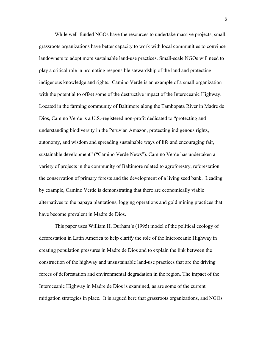While well-funded NGOs have the resources to undertake massive projects, small, grassroots organizations have better capacity to work with local communities to convince landowners to adopt more sustainable land-use practices. Small-scale NGOs will need to play a critical role in promoting responsible stewardship of the land and protecting indigenous knowledge and rights. Camino Verde is an example of a small organization with the potential to offset some of the destructive impact of the Interoceanic Highway. Located in the farming community of Baltimore along the Tambopata River in Madre de Dios, Camino Verde is a U.S.-registered non-profit dedicated to "protecting and understanding biodiversity in the Peruvian Amazon, protecting indigenous rights, autonomy, and wisdom and spreading sustainable ways of life and encouraging fair, sustainable development" ("Camino Verde News"). Camino Verde has undertaken a variety of projects in the community of Baltimore related to agroforestry, reforestation, the conservation of primary forests and the development of a living seed bank. Leading by example, Camino Verde is demonstrating that there are economically viable alternatives to the papaya plantations, logging operations and gold mining practices that have become prevalent in Madre de Dios.

This paper uses William H. Durham's (1995) model of the political ecology of deforestation in Latin America to help clarify the role of the Interoceanic Highway in creating population pressures in Madre de Dios and to explain the link between the construction of the highway and unsustainable land-use practices that are the driving forces of deforestation and environmental degradation in the region. The impact of the Interoceanic Highway in Madre de Dios is examined, as are some of the current mitigation strategies in place. It is argued here that grassroots organizations, and NGOs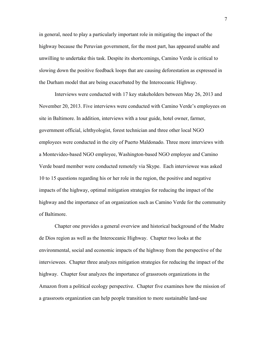in general, need to play a particularly important role in mitigating the impact of the highway because the Peruvian government, for the most part, has appeared unable and unwilling to undertake this task. Despite its shortcomings, Camino Verde is critical to slowing down the positive feedback loops that are causing deforestation as expressed in the Durham model that are being exacerbated by the Interoceanic Highway.

Interviews were conducted with 17 key stakeholders between May 26, 2013 and November 20, 2013. Five interviews were conducted with Camino Verde's employees on site in Baltimore. In addition, interviews with a tour guide, hotel owner, farmer, government official, ichthyologist, forest technician and three other local NGO employees were conducted in the city of Puerto Maldonado. Three more interviews with a Montevideo-based NGO employee, Washington-based NGO employee and Camino Verde board member were conducted remotely via Skype. Each interviewee was asked 10 to 15 questions regarding his or her role in the region, the positive and negative impacts of the highway, optimal mitigation strategies for reducing the impact of the highway and the importance of an organization such as Camino Verde for the community of Baltimore.

Chapter one provides a general overview and historical background of the Madre de Dios region as well as the Interoceanic Highway. Chapter two looks at the environmental, social and economic impacts of the highway from the perspective of the interviewees. Chapter three analyzes mitigation strategies for reducing the impact of the highway. Chapter four analyzes the importance of grassroots organizations in the Amazon from a political ecology perspective. Chapter five examines how the mission of a grassroots organization can help people transition to more sustainable land-use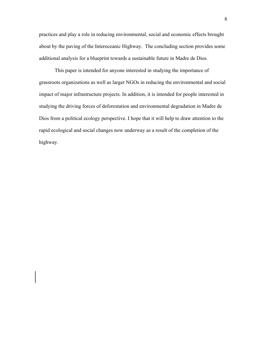practices and play a role in reducing environmental, social and economic effects brought about by the paving of the Interoceanic Highway. The concluding section provides some additional analysis for a blueprint towards a sustainable future in Madre de Dios.

This paper is intended for anyone interested in studying the importance of grassroots organizations as well as larger NGOs in reducing the environmental and social impact of major infrastructure projects. In addition, it is intended for people interested in studying the driving forces of deforestation and environmental degradation in Madre de Dios from a political ecology perspective. I hope that it will help to draw attention to the rapid ecological and social changes now underway as a result of the completion of the highway.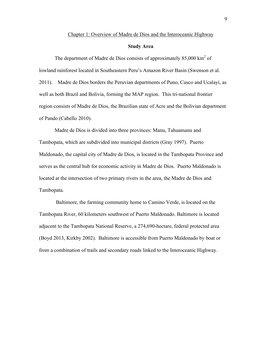#### Chapter 1: Overview of Madre de Dios and the Interoceanic Highway

## **Study Area**

The department of Madre de Dios consists of approximately  $85,000 \text{ km}^2$  of lowland rainforest located in Southeastern Peru's Amazon River Basin (Swenson et al. 2011). Madre de Dios borders the Peruvian departments of Puno, Cusco and Ucalayi, as well as both Brazil and Bolivia, forming the MAP region. This tri-national frontier region consists of Madre de Dios, the Brazilian state of Acre and the Bolivian department of Pando (Cabello 2010).

Madre de Dios is divided into three provinces: Manu, Tahuamanu and Tambopata, which are subdivided into municipal districts (Gray 1997). Puerto Maldonado, the capital city of Madre de Dios, is located in the Tambopata Province and serves as the central hub for economic activity in Madre de Dios. Puerto Maldonado is located at the intersection of two primary rivers in the area, the Madre de Dios and Tambopata.

Baltimore, the farming community home to Camino Verde, is located on the Tambopata River, 60 kilometers southwest of Puerto Maldonado. Baltimore is located adjacent to the Tambopata National Reserve, a 274,690-hectare, federal protected area (Boyd 2013, Kirkby 2002). Baltimore is accessible from Puerto Maldonado by boat or from a combination of trails and secondary roads linked to the Interoceanic Highway.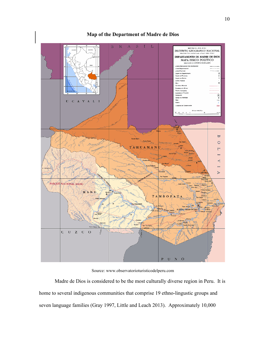

## **Map of the Department of Madre de Dios**

Source: www.observatorioturisticodelperu.com

Madre de Dios is considered to be the most culturally diverse region in Peru. It is home to several indigenous communities that comprise 19 ethno-lingustic groups and seven language families (Gray 1997, Little and Leach 2013). Approximately 10,000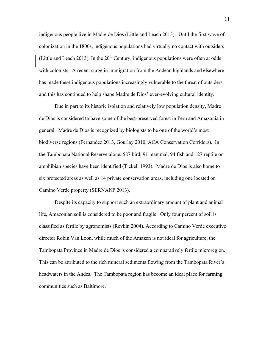indigenous people live in Madre de Dios (Little and Leach 2013). Until the first wave of colonization in the 1800s, indigenous populations had virtually no contact with outsiders (Little and Leach 2013). In the  $20<sup>th</sup>$  Century, indigenous populations were often at odds with colonists. A recent surge in immigration from the Andean highlands and elsewhere has made these indigenous populations increasingly vulnerable to the threat of outsiders, and this has continued to help shape Madre de Dios' ever-evolving cultural identity.

Due in part to its historic isolation and relatively low population density, Madre de Dios is considered to have some of the best-preserved forest in Peru and Amazonia in general. Madre de Dios is recognized by biologists to be one of the world's most biodiverse regions (Fernandez 2013, Gourlay 2010, ACA Conservation Corridors). In the Tambopata National Reserve alone, 587 bird, 91 mammal, 94 fish and 127 reptile or amphibian species have been identified (Tickell 1993). Madre de Dios is also home to six protected areas as well as 14 private conservation areas, including one located on Camino Verde property (SERNANP 2013).

Despite its capacity to support such an extraordinary amount of plant and animal life, Amazonian soil is considered to be poor and fragile. Only four percent of soil is classified as fertile by agronomists (Revkin 2004). According to Camino Verde executive director Robin Van Loon, while much of the Amazon is not ideal for agriculture, the Tambopata Province in Madre de Dios is considered a comparatively fertile microregion. This can be attributed to the rich mineral sediments flowing from the Tambopata River's headwaters in the Andes. The Tambopata region has become an ideal place for farming communities such as Baltimore.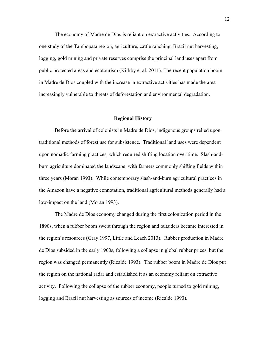The economy of Madre de Dios is reliant on extractive activities. According to one study of the Tambopata region, agriculture, cattle ranching, Brazil nut harvesting, logging, gold mining and private reserves comprise the principal land uses apart from public protected areas and ecotourism (Kirkby et al. 2011). The recent population boom in Madre de Dios coupled with the increase in extractive activities has made the area increasingly vulnerable to threats of deforestation and environmental degradation.

#### **Regional History**

Before the arrival of colonists in Madre de Dios, indigenous groups relied upon traditional methods of forest use for subsistence. Traditional land uses were dependent upon nomadic farming practices, which required shifting location over time. Slash-andburn agriculture dominated the landscape, with farmers commonly shifting fields within three years (Moran 1993). While contemporary slash-and-burn agricultural practices in the Amazon have a negative connotation, traditional agricultural methods generally had a low-impact on the land (Moran 1993).

The Madre de Dios economy changed during the first colonization period in the 1890s, when a rubber boom swept through the region and outsiders became interested in the region's resources (Gray 1997, Little and Leach 2013). Rubber production in Madre de Dios subsided in the early 1900s, following a collapse in global rubber prices, but the region was changed permanently (Ricalde 1993). The rubber boom in Madre de Dios put the region on the national radar and established it as an economy reliant on extractive activity. Following the collapse of the rubber economy, people turned to gold mining, logging and Brazil nut harvesting as sources of income (Ricalde 1993).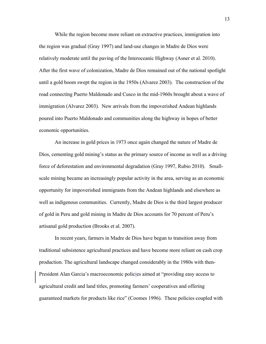While the region become more reliant on extractive practices, immigration into the region was gradual (Gray 1997) and land-use changes in Madre de Dios were relatively moderate until the paving of the Interoceanic Highway (Asner et al. 2010). After the first wave of colonization, Madre de Dios remained out of the national spotlight until a gold boom swept the region in the 1950s (Alvarez 2003). The construction of the road connecting Puerto Maldonado and Cusco in the mid-1960s brought about a wave of immigration (Alvarez 2003). New arrivals from the impoverished Andean highlands poured into Puerto Maldonado and communities along the highway in hopes of better economic opportunities.

An increase in gold prices in 1973 once again changed the nature of Madre de Dios, cementing gold mining's status as the primary source of income as well as a driving force of deforestation and environmental degradation (Gray 1997, Rubio 2010). Smallscale mining became an increasingly popular activity in the area, serving as an economic opportunity for impoverished immigrants from the Andean highlands and elsewhere as well as indigenous communities. Currently, Madre de Dios is the third largest producer of gold in Peru and gold mining in Madre de Dios accounts for 70 percent of Peru's artisanal gold production (Brooks et al. 2007).

In recent years, farmers in Madre de Dios have begun to transition away from traditional subsistence agricultural practices and have become more reliant on cash crop production. The agricultural landscape changed considerably in the 1980s with then-President Alan Garcia's macroeconomic policies aimed at "providing easy access to agricultural credit and land titles, promoting farmers' cooperatives and offering guaranteed markets for products like rice" (Coomes 1996). These policies coupled with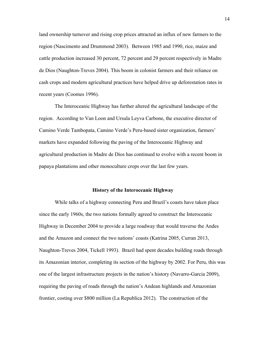land ownership turnover and rising crop prices attracted an influx of new farmers to the region (Nascimento and Drummond 2003). Between 1985 and 1990, rice, maize and cattle production increased 30 percent, 72 percent and 29 percent respectively in Madre de Dios (Naughton-Treves 2004). This boom in colonist farmers and their reliance on cash crops and modern agricultural practices have helped drive up deforestation rates in recent years (Coomes 1996).

The Interoceanic Highway has further altered the agricultural landscape of the region. According to Van Loon and Ursula Leyva Carbone, the executive director of Camino Verde Tambopata, Camino Verde's Peru-based sister organization, farmers' markets have expanded following the paving of the Interoceanic Highway and agricultural production in Madre de Dios has continued to evolve with a recent boom in papaya plantations and other monoculture crops over the last few years.

#### **History of the Interoceanic Highway**

While talks of a highway connecting Peru and Brazil's coasts have taken place since the early 1960s, the two nations formally agreed to construct the Interoceanic Highway in December 2004 to provide a large roadway that would traverse the Andes and the Amazon and connect the two nations' coasts (Katrina 2005, Curran 2013, Naughton-Treves 2004, Tickell 1993). Brazil had spent decades building roads through its Amazonian interior, completing its section of the highway by 2002. For Peru, this was one of the largest infrastructure projects in the nation's history (Navarro-Garcia 2009), requiring the paving of roads through the nation's Andean highlands and Amazonian frontier, costing over \$800 million (La Republica 2012). The construction of the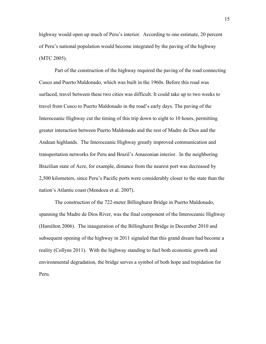highway would open up much of Peru's interior. According to one estimate, 20 percent of Peru's national population would become integrated by the paving of the highway (MTC 2005).

Part of the construction of the highway required the paving of the road connecting Cusco and Puerto Maldonado, which was built in the 1960s. Before this road was surfaced, travel between these two cities was difficult. It could take up to two weeks to travel from Cusco to Puerto Maldonado in the road's early days. The paving of the Interoceanic Highway cut the timing of this trip down to eight to 10 hours, permitting greater interaction between Puerto Maldonado and the rest of Madre de Dios and the Andean highlands. The Interoceanic Highway greatly improved communication and transportation networks for Peru and Brazil's Amazonian interior. In the neighboring Brazilian state of Acre, for example, distance from the nearest port was decreased by 2,500 kilometers, since Peru's Pacific ports were considerably closer to the state than the nation's Atlantic coast (Mendoza et al. 2007).

The construction of the 722-meter Billinghurst Bridge in Puerto Maldonado, spanning the Madre de Dios River, was the final component of the Interoceanic Highway (Hamilton 2006). The inauguration of the Billinghurst Bridge in December 2010 and subsequent opening of the highway in 2011 signaled that this grand dream had become a reality (Collyns 2011). With the highway standing to fuel both economic growth and environmental degradation, the bridge serves a symbol of both hope and trepidation for Peru.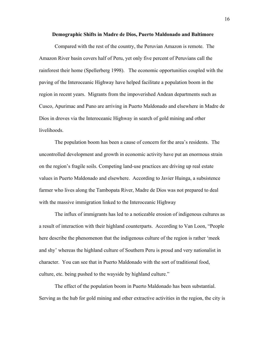#### **Demographic Shifts in Madre de Dios, Puerto Maldonado and Baltimore**

Compared with the rest of the country, the Peruvian Amazon is remote. The Amazon River basin covers half of Peru, yet only five percent of Peruvians call the rainforest their home (Spellerberg 1998). The economic opportunities coupled with the paving of the Interoceanic Highway have helped facilitate a population boom in the region in recent years. Migrants from the impoverished Andean departments such as Cusco, Apurimac and Puno are arriving in Puerto Maldonado and elsewhere in Madre de Dios in droves via the Interoceanic Highway in search of gold mining and other livelihoods.

The population boom has been a cause of concern for the area's residents. The uncontrolled development and growth in economic activity have put an enormous strain on the region's fragile soils. Competing land-use practices are driving up real estate values in Puerto Maldonado and elsewhere. According to Javier Huinga, a subsistence farmer who lives along the Tambopata River, Madre de Dios was not prepared to deal with the massive immigration linked to the Interoceanic Highway

The influx of immigrants has led to a noticeable erosion of indigenous cultures as a result of interaction with their highland counterparts. According to Van Loon, "People here describe the phenomenon that the indigenous culture of the region is rather 'meek and shy' whereas the highland culture of Southern Peru is proud and very nationalist in character. You can see that in Puerto Maldonado with the sort of traditional food, culture, etc. being pushed to the wayside by highland culture."

The effect of the population boom in Puerto Maldonado has been substantial. Serving as the hub for gold mining and other extractive activities in the region, the city is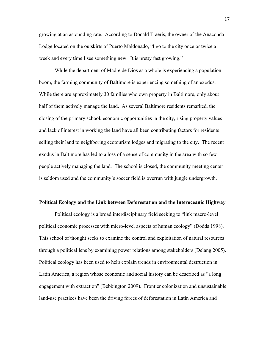growing at an astounding rate. According to Donald Traeris, the owner of the Anaconda Lodge located on the outskirts of Puerto Maldonado, "I go to the city once or twice a week and every time I see something new. It is pretty fast growing."

While the department of Madre de Dios as a whole is experiencing a population boom, the farming community of Baltimore is experiencing something of an exodus. While there are approximately 30 families who own property in Baltimore, only about half of them actively manage the land. As several Baltimore residents remarked, the closing of the primary school, economic opportunities in the city, rising property values and lack of interest in working the land have all been contributing factors for residents selling their land to neighboring ecotourism lodges and migrating to the city. The recent exodus in Baltimore has led to a loss of a sense of community in the area with so few people actively managing the land. The school is closed, the community meeting center is seldom used and the community's soccer field is overrun with jungle undergrowth.

## **Political Ecology and the Link between Deforestation and the Interoceanic Highway**

Political ecology is a broad interdisciplinary field seeking to "link macro-level political economic processes with micro-level aspects of human ecology" (Dodds 1998). This school of thought seeks to examine the control and exploitation of natural resources through a political lens by examining power relations among stakeholders (Delang 2005). Political ecology has been used to help explain trends in environmental destruction in Latin America, a region whose economic and social history can be described as "a long engagement with extraction" (Bebbington 2009). Frontier colonization and unsustainable land-use practices have been the driving forces of deforestation in Latin America and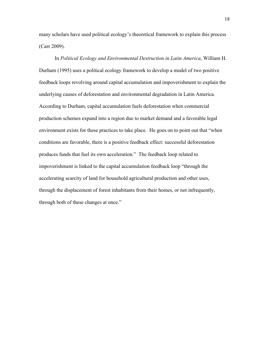many scholars have used political ecology's theoretical framework to explain this process (Carr 2009).

In *Political Ecology and Environmental Destruction in Latin America*, William H. Durham (1995) uses a political ecology framework to develop a model of two positive feedback loops revolving around capital accumulation and impoverishment to explain the underlying causes of deforestation and environmental degradation in Latin America. According to Durham, capital accumulation fuels deforestation when commercial production schemes expand into a region due to market demand and a favorable legal environment exists for these practices to take place. He goes on to point out that "when conditions are favorable, there is a positive feedback effect: successful deforestation produces funds that fuel its own acceleration." The feedback loop related to impoverishment is linked to the capital accumulation feedback loop "through the accelerating scarcity of land for household agricultural production and other uses, through the displacement of forest inhabitants from their homes, or not infrequently, through both of these changes at once."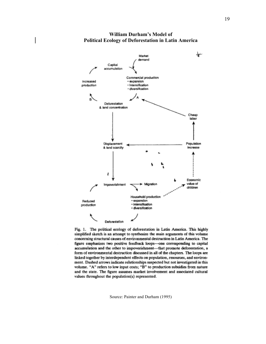

## **William Durham's Model of Political Ecology of Deforestation in Latin America**

Fig. 1. The political ecology of deforestation in Latin America. This highly simplified sketch is an attempt to synthesize the main arguments of this volume concerning structural causes of environmental destruction in Latin America. The figure emphasizes two positive feedback loops-one corresponding to capital accumulation and the other to impoverishment-that promote deforestation, a form of environmental destruction discussed in all of the chapters. The loops are linked together by interdependent effects on population, resources, and environment. Dashed arrows indicate relationships suspected but not investigated in this volume. "A" refers to low input costs; "B" to production subsidies from nature and the state. The figure assumes market involvement and associated cultural values throughout the population(s) represented.

Source: Painter and Durham (1995)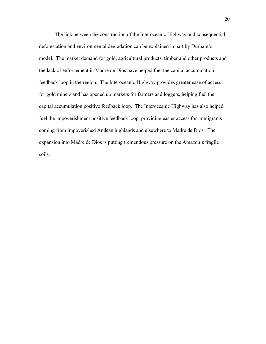The link between the construction of the Interoceanic Highway and consequential deforestation and environmental degradation can be explained in part by Durham's model. The market demand for gold, agricultural products, timber and other products and the lack of enforcement in Madre de Dios have helped fuel the capital accumulation feedback loop in the region. The Interoceanic Highway provides greater ease of access for gold miners and has opened up markets for farmers and loggers, helping fuel the capital accumulation positive feedback loop. The Interoceanic Highway has also helped fuel the impoverishment positive feedback loop, providing easier access for immigrants coming from impoverished Andean highlands and elsewhere to Madre de Dios. The expansion into Madre de Dios is putting tremendous pressure on the Amazon's fragile soils.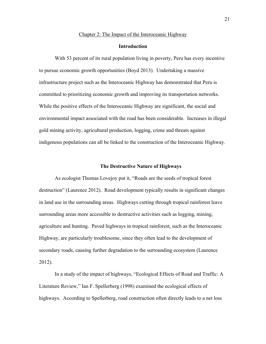## Chapter 2: The Impact of the Interoceanic Highway

## **Introduction**

With 53 percent of its rural population living in poverty, Peru has every incentive to pursue economic growth opportunities (Boyd 2013). Undertaking a massive infrastructure project such as the Interoceanic Highway has demonstrated that Peru is committed to prioritizing economic growth and improving its transportation networks. While the positive effects of the Interoceanic Highway are significant, the social and environmental impact associated with the road has been considerable. Increases in illegal gold mining activity, agricultural production, logging, crime and threats against indigenous populations can all be linked to the construction of the Interoceanic Highway.

## **The Destructive Nature of Highways**

As ecologist Thomas Lovejoy put it, "Roads are the seeds of tropical forest destruction" (Laurence 2012). Road development typically results in significant changes in land use in the surrounding areas. Highways cutting through tropical rainforest leave surrounding areas more accessible to destructive activities such as logging, mining, agriculture and hunting. Paved highways in tropical rainforest, such as the Interoceanic Highway, are particularly troublesome, since they often lead to the development of secondary roads, causing further degradation to the surrounding ecosystem (Laurence 2012).

In a study of the impact of highways, "Ecological Effects of Road and Traffic: A Literature Review," Ian F. Spellerberg (1998) examined the ecological effects of highways. According to Spellerberg, road construction often directly leads to a net loss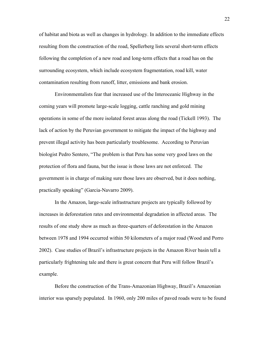of habitat and biota as well as changes in hydrology. In addition to the immediate effects resulting from the construction of the road, Spellerberg lists several short-term effects following the completion of a new road and long-term effects that a road has on the surrounding ecosystem, which include ecosystem fragmentation, road kill, water contamination resulting from runoff, litter, emissions and bank erosion.

Environmentalists fear that increased use of the Interoceanic Highway in the coming years will promote large-scale logging, cattle ranching and gold mining operations in some of the more isolated forest areas along the road (Tickell 1993). The lack of action by the Peruvian government to mitigate the impact of the highway and prevent illegal activity has been particularly troublesome. According to Peruvian biologist Pedro Sentero, "The problem is that Peru has some very good laws on the protection of flora and fauna, but the issue is those laws are not enforced. The government is in charge of making sure those laws are observed, but it does nothing, practically speaking" (Garcia-Navarro 2009).

In the Amazon, large-scale infrastructure projects are typically followed by increases in deforestation rates and environmental degradation in affected areas. The results of one study show as much as three-quarters of deforestation in the Amazon between 1978 and 1994 occurred within 50 kilometers of a major road (Wood and Porro 2002). Case studies of Brazil's infrastructure projects in the Amazon River basin tell a particularly frightening tale and there is great concern that Peru will follow Brazil's example.

Before the construction of the Trans-Amazonian Highway, Brazil's Amazonian interior was sparsely populated. In 1960, only 200 miles of paved roads were to be found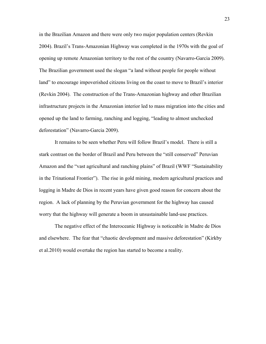in the Brazilian Amazon and there were only two major population centers (Revkin 2004). Brazil's Trans-Amazonian Highway was completed in the 1970s with the goal of opening up remote Amazonian territory to the rest of the country (Navarro-Garcia 2009). The Brazilian government used the slogan "a land without people for people without land" to encourage impoverished citizens living on the coast to move to Brazil's interior (Revkin 2004). The construction of the Trans-Amazonian highway and other Brazilian infrastructure projects in the Amazonian interior led to mass migration into the cities and opened up the land to farming, ranching and logging, "leading to almost unchecked deforestation" (Navarro-Garcia 2009).

It remains to be seen whether Peru will follow Brazil's model. There is still a stark contrast on the border of Brazil and Peru between the "still conserved" Peruvian Amazon and the "vast agricultural and ranching plains" of Brazil (WWF "Sustainability in the Trinational Frontier"). The rise in gold mining, modern agricultural practices and logging in Madre de Dios in recent years have given good reason for concern about the region. A lack of planning by the Peruvian government for the highway has caused worry that the highway will generate a boom in unsustainable land-use practices.

The negative effect of the Interoceanic Highway is noticeable in Madre de Dios and elsewhere. The fear that "chaotic development and massive deforestation" (Kirkby et al.2010) would overtake the region has started to become a reality.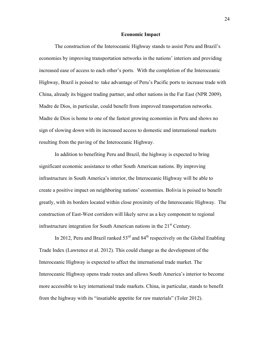#### **Economic Impact**

The construction of the Interoceanic Highway stands to assist Peru and Brazil's economies by improving transportation networks in the nations' interiors and providing increased ease of access to each other's ports. With the completion of the Interoceanic Highway, Brazil is poised to take advantage of Peru's Pacific ports to increase trade with China, already its biggest trading partner, and other nations in the Far East (NPR 2009). Madre de Dios, in particular, could benefit from improved transportation networks. Madre de Dios is home to one of the fastest growing economies in Peru and shows no sign of slowing down with its increased access to domestic and international markets resulting from the paving of the Interoceanic Highway.

In addition to benefiting Peru and Brazil, the highway is expected to bring significant economic assistance to other South American nations. By improving infrastructure in South America's interior, the Interoceanic Highway will be able to create a positive impact on neighboring nations' economies. Bolivia is poised to benefit greatly, with its borders located within close proximity of the Interoceanic Highway. The construction of East-West corridors will likely serve as a key component to regional infrastructure integration for South American nations in the  $21<sup>st</sup>$  Century.

In 2012, Peru and Brazil ranked  $53<sup>rd</sup>$  and  $84<sup>th</sup>$  respectively on the Global Enabling Trade Index (Lawrence et al. 2012). This could change as the development of the Interoceanic Highway is expected to affect the international trade market. The Interoceanic Highway opens trade routes and allows South America's interior to become more accessible to key international trade markets. China, in particular, stands to benefit from the highway with its "insatiable appetite for raw materials" (Toler 2012).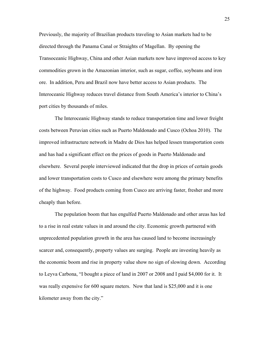Previously, the majority of Brazilian products traveling to Asian markets had to be directed through the Panama Canal or Straights of Magellan. By opening the Transoceanic Highway, China and other Asian markets now have improved access to key commodities grown in the Amazonian interior, such as sugar, coffee, soybeans and iron ore. In addition, Peru and Brazil now have better access to Asian products. The Interoceanic Highway reduces travel distance from South America's interior to China's port cities by thousands of miles.

The Interoceanic Highway stands to reduce transportation time and lower freight costs between Peruvian cities such as Puerto Maldonado and Cusco (Ochoa 2010). The improved infrastructure network in Madre de Dios has helped lessen transportation costs and has had a significant effect on the prices of goods in Puerto Maldonado and elsewhere. Several people interviewed indicated that the drop in prices of certain goods and lower transportation costs to Cusco and elsewhere were among the primary benefits of the highway. Food products coming from Cusco are arriving faster, fresher and more cheaply than before.

The population boom that has engulfed Puerto Maldonado and other areas has led to a rise in real estate values in and around the city. Economic growth partnered with unprecedented population growth in the area has caused land to become increasingly scarcer and, consequently, property values are surging. People are investing heavily as the economic boom and rise in property value show no sign of slowing down. According to Leyva Carbona, "I bought a piece of land in 2007 or 2008 and I paid \$4,000 for it. It was really expensive for 600 square meters. Now that land is \$25,000 and it is one kilometer away from the city."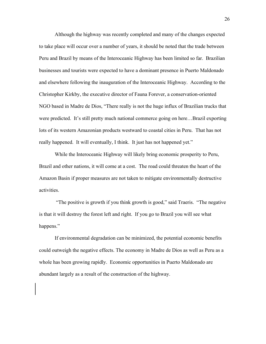Although the highway was recently completed and many of the changes expected to take place will occur over a number of years, it should be noted that the trade between Peru and Brazil by means of the Interoceanic Highway has been limited so far. Brazilian businesses and tourists were expected to have a dominant presence in Puerto Maldonado and elsewhere following the inauguration of the Interoceanic Highway. According to the Christopher Kirkby, the executive director of Fauna Forever, a conservation-oriented NGO based in Madre de Dios, "There really is not the huge influx of Brazilian trucks that were predicted. It's still pretty much national commerce going on here…Brazil exporting lots of its western Amazonian products westward to coastal cities in Peru. That has not really happened. It will eventually, I think. It just has not happened yet."

While the Interoceanic Highway will likely bring economic prosperity to Peru, Brazil and other nations, it will come at a cost. The road could threaten the heart of the Amazon Basin if proper measures are not taken to mitigate environmentally destructive activities.

"The positive is growth if you think growth is good," said Traeris. "The negative is that it will destroy the forest left and right. If you go to Brazil you will see what happens."

If environmental degradation can be minimized, the potential economic benefits could outweigh the negative effects. The economy in Madre de Dios as well as Peru as a whole has been growing rapidly. Economic opportunities in Puerto Maldonado are abundant largely as a result of the construction of the highway.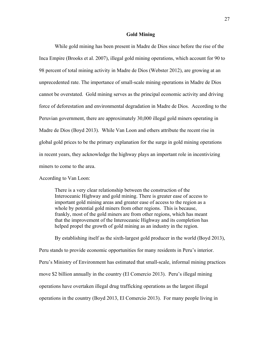## **Gold Mining**

While gold mining has been present in Madre de Dios since before the rise of the Inca Empire (Brooks et al. 2007), illegal gold mining operations, which account for 90 to 98 percent of total mining activity in Madre de Dios (Webster 2012), are growing at an unprecedented rate. The importance of small-scale mining operations in Madre de Dios cannot be overstated. Gold mining serves as the principal economic activity and driving force of deforestation and environmental degradation in Madre de Dios. According to the Peruvian government, there are approximately 30,000 illegal gold miners operating in Madre de Dios (Boyd 2013). While Van Loon and others attribute the recent rise in global gold prices to be the primary explanation for the surge in gold mining operations in recent years, they acknowledge the highway plays an important role in incentivizing miners to come to the area.

According to Van Loon:

There is a very clear relationship between the construction of the Interoceanic Highway and gold mining. There is greater ease of access to important gold mining areas and greater ease of access to the region as a whole by potential gold miners from other regions. This is because, frankly, most of the gold miners are from other regions, which has meant that the improvement of the Interoceanic Highway and its completion has helped propel the growth of gold mining as an industry in the region.

By establishing itself as the sixth-largest gold producer in the world (Boyd 2013), Peru stands to provide economic opportunities for many residents in Peru's interior. Peru's Ministry of Environment has estimated that small-scale, informal mining practices move \$2 billion annually in the country (El Comercio 2013). Peru's illegal mining operations have overtaken illegal drug trafficking operations as the largest illegal operations in the country (Boyd 2013, El Comercio 2013). For many people living in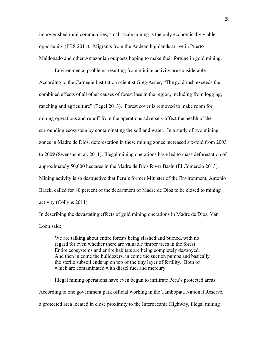impoverished rural communities, small-scale mining is the only economically viable opportunity (PBS 2011). Migrants from the Andean highlands arrive in Puerto Maldonado and other Amazonian outposts hoping to make their fortune in gold mining.

Environmental problems resulting from mining activity are considerable. According to the Carnegie Institution scientist Greg Asner, "The gold rush exceeds the combined effects of all other causes of forest loss in the region, including from logging, ranching and agriculture" (Tegel 2013). Forest cover is removed to make room for mining operations and runoff from the operations adversely affect the health of the surrounding ecosystem by contaminating the soil and water. In a study of two mining zones in Madre de Dios, deforestation in these mining zones increased six-fold from 2003 to 2009 (Swenson et al. 2011). Illegal mining operations have led to mass deforestation of approximately 50,000 hectares in the Madre de Dios River Basin (El Comercio 2013). Mining activity is so destructive that Peru's former Minister of the Environment, Antonio Brack, called for 80 percent of the department of Madre de Dios to be closed to mining activity (Collyns 2011).

In describing the devastating effects of gold mining operations in Madre de Dios, Van Loon said:

We are talking about entire forests being slashed and burned, with no regard for even whether there are valuable timber trees in the forest. Entire ecosystems and entire habitats are being completely destroyed. And then in come the bulldozers, in come the suction pumps and basically the sterile subsoil ends up on top of the tiny layer of fertility. Both of which are contaminated with diesel fuel and mercury.

Illegal mining operations have even begun to infiltrate Peru's protected areas. According to one government park official working in the Tambopata National Reserve, a protected area located in close proximity to the Interoceanic Highway, illegal mining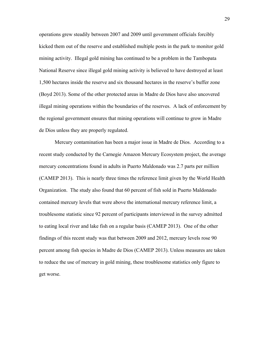operations grew steadily between 2007 and 2009 until government officials forcibly kicked them out of the reserve and established multiple posts in the park to monitor gold mining activity. Illegal gold mining has continued to be a problem in the Tambopata National Reserve since illegal gold mining activity is believed to have destroyed at least 1,500 hectares inside the reserve and six thousand hectares in the reserve's buffer zone (Boyd 2013). Some of the other protected areas in Madre de Dios have also uncovered illegal mining operations within the boundaries of the reserves. A lack of enforcement by the regional government ensures that mining operations will continue to grow in Madre de Dios unless they are properly regulated.

Mercury contamination has been a major issue in Madre de Dios. According to a recent study conducted by the Carnegie Amazon Mercury Ecosystem project, the average mercury concentrations found in adults in Puerto Maldonado was 2.7 parts per million (CAMEP 2013). This is nearly three times the reference limit given by the World Health Organization. The study also found that 60 percent of fish sold in Puerto Maldonado contained mercury levels that were above the international mercury reference limit, a troublesome statistic since 92 percent of participants interviewed in the survey admitted to eating local river and lake fish on a regular basis (CAMEP 2013). One of the other findings of this recent study was that between 2009 and 2012, mercury levels rose 90 percent among fish species in Madre de Dios (CAMEP 2013). Unless measures are taken to reduce the use of mercury in gold mining, these troublesome statistics only figure to get worse.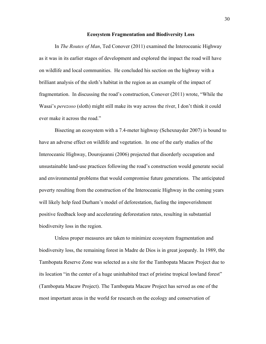#### **Ecosystem Fragmentation and Biodiversity Loss**

In *The Routes of Man*, Ted Conover (2011) examined the Interoceanic Highway as it was in its earlier stages of development and explored the impact the road will have on wildlife and local communities. He concluded his section on the highway with a brilliant analysis of the sloth's habitat in the region as an example of the impact of fragmentation. In discussing the road's construction, Conover (2011) wrote, "While the Wasai's *perezoso* (sloth) might still make its way across the river, I don't think it could ever make it across the road."

Bisecting an ecosystem with a 7.4-meter highway (Schexnayder 2007) is bound to have an adverse effect on wildlife and vegetation. In one of the early studies of the Interoceanic Highway, Dourojeanni (2006) projected that disorderly occupation and unsustainable land-use practices following the road's construction would generate social and environmental problems that would compromise future generations. The anticipated poverty resulting from the construction of the Interoceanic Highway in the coming years will likely help feed Durham's model of deforestation, fueling the impoverishment positive feedback loop and accelerating deforestation rates, resulting in substantial biodiversity loss in the region.

Unless proper measures are taken to minimize ecosystem fragmentation and biodiversity loss, the remaining forest in Madre de Dios is in great jeopardy. In 1989, the Tambopata Reserve Zone was selected as a site for the Tambopata Macaw Project due to its location "in the center of a huge uninhabited tract of pristine tropical lowland forest" (Tambopata Macaw Project). The Tambopata Macaw Project has served as one of the most important areas in the world for research on the ecology and conservation of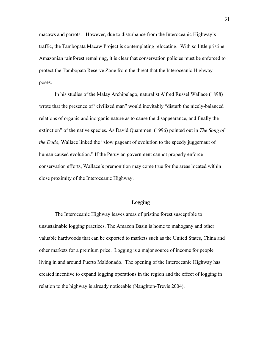macaws and parrots. However, due to disturbance from the Interoceanic Highway's traffic, the Tambopata Macaw Project is contemplating relocating. With so little pristine Amazonian rainforest remaining, it is clear that conservation policies must be enforced to protect the Tambopata Reserve Zone from the threat that the Interoceanic Highway poses.

In his studies of the Malay Archipelago, naturalist Alfred Russel Wallace (1898) wrote that the presence of "civilized man" would inevitably "disturb the nicely-balanced relations of organic and inorganic nature as to cause the disappearance, and finally the extinction" of the native species. As David Quammen (1996) pointed out in *The Song of the Dodo*, Wallace linked the "slow pageant of evolution to the speedy juggernaut of human caused evolution." If the Peruvian government cannot properly enforce conservation efforts, Wallace's premonition may come true for the areas located within close proximity of the Interoceanic Highway.

## **Logging**

The Interoceanic Highway leaves areas of pristine forest susceptible to unsustainable logging practices. The Amazon Basin is home to mahogany and other valuable hardwoods that can be exported to markets such as the United States, China and other markets for a premium price. Logging is a major source of income for people living in and around Puerto Maldonado. The opening of the Interoceanic Highway has created incentive to expand logging operations in the region and the effect of logging in relation to the highway is already noticeable (Naughton-Trevis 2004).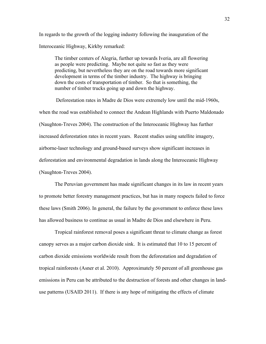In regards to the growth of the logging industry following the inauguration of the Interoceanic Highway, Kirkby remarked:

The timber centers of Alegria, further up towards Iveria, are all flowering as people were predicting. Maybe not quite so fast as they were predicting, but nevertheless they are on the road towards more significant development in terms of the timber industry. The highway is bringing down the costs of transportation of timber. So that is something, the number of timber trucks going up and down the highway.

Deforestation rates in Madre de Dios were extremely low until the mid-1960s, when the road was established to connect the Andean Highlands with Puerto Maldonado (Naughton-Treves 2004). The construction of the Interoceanic Highway has further increased deforestation rates in recent years. Recent studies using satellite imagery, airborne-laser technology and ground-based surveys show significant increases in deforestation and environmental degradation in lands along the Interoceanic Highway (Naughton-Treves 2004).

The Peruvian government has made significant changes in its law in recent years to promote better forestry management practices, but has in many respects failed to force these laws (Smith 2006). In general, the failure by the government to enforce these laws has allowed business to continue as usual in Madre de Dios and elsewhere in Peru.

Tropical rainforest removal poses a significant threat to climate change as forest canopy serves as a major carbon dioxide sink. It is estimated that 10 to 15 percent of carbon dioxide emissions worldwide result from the deforestation and degradation of tropical rainforests (Asner et al. 2010). Approximately 50 percent of all greenhouse gas emissions in Peru can be attributed to the destruction of forests and other changes in landuse patterns (USAID 2011). If there is any hope of mitigating the effects of climate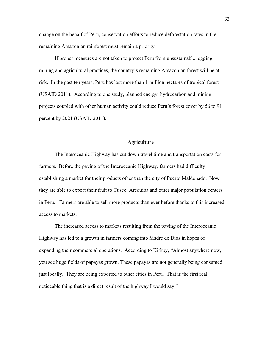change on the behalf of Peru, conservation efforts to reduce deforestation rates in the remaining Amazonian rainforest must remain a priority.

If proper measures are not taken to protect Peru from unsustainable logging, mining and agricultural practices, the country's remaining Amazonian forest will be at risk. In the past ten years, Peru has lost more than 1 million hectares of tropical forest (USAID 2011). According to one study, planned energy, hydrocarbon and mining projects coupled with other human activity could reduce Peru's forest cover by 56 to 91 percent by 2021 (USAID 2011).

## **Agriculture**

The Interoceanic Highway has cut down travel time and transportation costs for farmers. Before the paving of the Interoceanic Highway, farmers had difficulty establishing a market for their products other than the city of Puerto Maldonado. Now they are able to export their fruit to Cusco, Arequipa and other major population centers in Peru. Farmers are able to sell more products than ever before thanks to this increased access to markets.

The increased access to markets resulting from the paving of the Interoceanic Highway has led to a growth in farmers coming into Madre de Dios in hopes of expanding their commercial operations. According to Kirkby, "Almost anywhere now, you see huge fields of papayas grown. These papayas are not generally being consumed just locally. They are being exported to other cities in Peru. That is the first real noticeable thing that is a direct result of the highway I would say."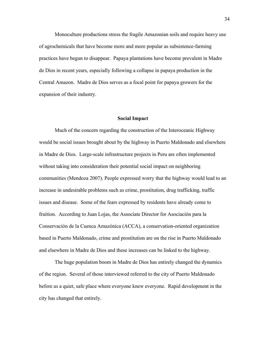Monoculture productions stress the fragile Amazonian soils and require heavy use of agrochemicals that have become more and more popular as subsistence-farming practices have begun to disappear. Papaya plantations have become prevalent in Madre de Dios in recent years, especially following a collapse in papaya production in the Central Amazon. Madre de Dios serves as a focal point for papaya growers for the expansion of their industry.

#### **Social Impact**

Much of the concern regarding the construction of the Interoceanic Highway would be social issues brought about by the highway in Puerto Maldonado and elsewhere in Madre de Dios. Large-scale infrastructure projects in Peru are often implemented without taking into consideration their potential social impact on neighboring communities (Mendoza 2007). People expressed worry that the highway would lead to an increase in undesirable problems such as crime, prostitution, drug trafficking, traffic issues and disease. Some of the fears expressed by residents have already come to fruition. According to Juan Lojas, the Associate Director for Asociación para la Conservación de la Cuenca Amazónica (ACCA), a conservation-oriented organization based in Puerto Maldonado, crime and prostitution are on the rise in Puerto Maldonado and elsewhere in Madre de Dios and these increases can be linked to the highway.

The huge population boom in Madre de Dios has entirely changed the dynamics of the region. Several of those interviewed referred to the city of Puerto Maldonado before as a quiet, safe place where everyone knew everyone. Rapid development in the city has changed that entirely.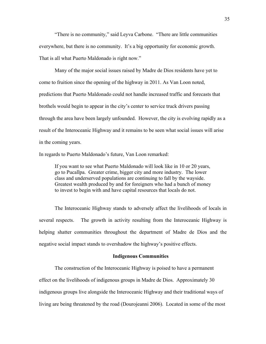"There is no community," said Leyva Carbone. "There are little communities everywhere, but there is no community. It's a big opportunity for economic growth. That is all what Puerto Maldonado is right now."

Many of the major social issues raised by Madre de Dios residents have yet to come to fruition since the opening of the highway in 2011. As Van Loon noted, predictions that Puerto Maldonado could not handle increased traffic and forecasts that brothels would begin to appear in the city's center to service truck drivers passing through the area have been largely unfounded. However, the city is evolving rapidly as a result of the Interoceanic Highway and it remains to be seen what social issues will arise in the coming years.

In regards to Puerto Maldonado's future, Van Loon remarked:

If you want to see what Puerto Maldonado will look like in 10 or 20 years, go to Pucallpa. Greater crime, bigger city and more industry. The lower class and underserved populations are continuing to fall by the wayside. Greatest wealth produced by and for foreigners who had a bunch of money to invest to begin with and have capital resources that locals do not.

The Interoceanic Highway stands to adversely affect the livelihoods of locals in several respects. The growth in activity resulting from the Interoceanic Highway is helping shatter communities throughout the department of Madre de Dios and the negative social impact stands to overshadow the highway's positive effects.

## **Indigenous Communities**

The construction of the Interoceanic Highway is poised to have a permanent effect on the livelihoods of indigenous groups in Madre de Dios. Approximately 30 indigenous groups live alongside the Interoceanic Highway and their traditional ways of living are being threatened by the road (Dourojeanni 2006). Located in some of the most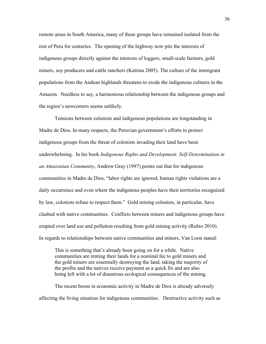remote areas in South America, many of these groups have remained isolated from the rest of Peru for centuries. The opening of the highway now pits the interests of indigenous groups directly against the interests of loggers, small-scale farmers, gold miners, soy producers and cattle ranchers (Katrina 2005). The culture of the immigrant populations from the Andean highlands threatens to erode the indigenous cultures in the Amazon. Needless to say, a harmonious relationship between the indigenous groups and the region's newcomers seems unlikely.

Tensions between colonists and indigenous populations are longstanding in Madre de Dios. In many respects, the Peruvian government's efforts to protect indigenous groups from the threat of colonists invading their land have been underwhelming. In his book *Indigenous Rights and Development: Self-Determination in an Amazonian Community*, Andrew Gray (1997) points out that for indigenous communities in Madre de Dios, "labor rights are ignored, human rights violations are a daily occurrence and even where the indigenous peoples have their territories recognized by law, colonists refuse to respect them." Gold mining colonists, in particular, have clashed with native communities. Conflicts between miners and indigenous groups have erupted over land use and pollution resulting from gold mining activity (Rubio 2010). In regards to relationships between native communities and miners, Van Loon stated:

This is something that's already been going on for a while. Native communities are renting their lands for a nominal fee to gold miners and the gold miners are essentially destroying the land, taking the majority of the profits and the natives receive payment as a quick fix and are also being left with a lot of disastrous ecological consequences of the mining.

The recent boom in economic activity in Madre de Dios is already adversely affecting the living situation for indigenous communities. Destructive activity such as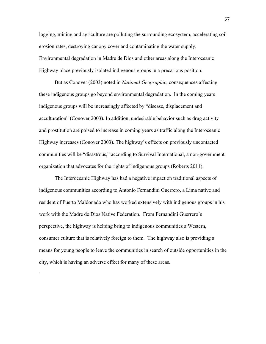logging, mining and agriculture are polluting the surrounding ecosystem, accelerating soil erosion rates, destroying canopy cover and contaminating the water supply. Environmental degradation in Madre de Dios and other areas along the Interoceanic Highway place previously isolated indigenous groups in a precarious position.

But as Conover (2003) noted in *National Geographic*, consequences affecting these indigenous groups go beyond environmental degradation. In the coming years indigenous groups will be increasingly affected by "disease, displacement and acculturation" (Conover 2003). In addition, undesirable behavior such as drug activity and prostitution are poised to increase in coming years as traffic along the Interoceanic Highway increases (Conover 2003). The highway's effects on previously uncontacted communities will be "disastrous," according to Survival International, a non-government organization that advocates for the rights of indigenous groups (Roberts 2011).

The Interoceanic Highway has had a negative impact on traditional aspects of indigenous communities according to Antonio Fernandini Guerrero, a Lima native and resident of Puerto Maldonado who has worked extensively with indigenous groups in his work with the Madre de Dios Native Federation. From Fernandini Guerrero's perspective, the highway is helping bring to indigenous communities a Western, consumer culture that is relatively foreign to them. The highway also is providing a means for young people to leave the communities in search of outside opportunities in the city, which is having an adverse effect for many of these areas.

 $\epsilon$ 

37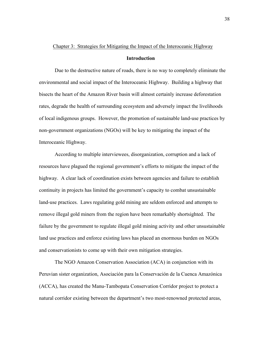## Chapter 3: Strategies for Mitigating the Impact of the Interoceanic Highway

## **Introduction**

Due to the destructive nature of roads, there is no way to completely eliminate the environmental and social impact of the Interoceanic Highway. Building a highway that bisects the heart of the Amazon River basin will almost certainly increase deforestation rates, degrade the health of surrounding ecosystem and adversely impact the livelihoods of local indigenous groups. However, the promotion of sustainable land-use practices by non-government organizations (NGOs) will be key to mitigating the impact of the Interoceanic Highway.

According to multiple interviewees, disorganization, corruption and a lack of resources have plagued the regional government's efforts to mitigate the impact of the highway. A clear lack of coordination exists between agencies and failure to establish continuity in projects has limited the government's capacity to combat unsustainable land-use practices. Laws regulating gold mining are seldom enforced and attempts to remove illegal gold miners from the region have been remarkably shortsighted. The failure by the government to regulate illegal gold mining activity and other unsustainable land use practices and enforce existing laws has placed an enormous burden on NGOs and conservationists to come up with their own mitigation strategies.

The NGO Amazon Conservation Association (ACA) in conjunction with its Peruvian sister organization, Asociación para la Conservación de la Cuenca Amazónica (ACCA), has created the Manu-Tambopata Conservation Corridor project to protect a natural corridor existing between the department's two most-renowned protected areas,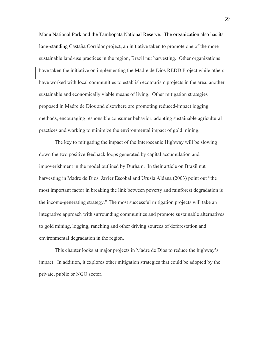Manu National Park and the Tambopata National Reserve. The organization also has its long-standing Castaña Corridor project, an initiative taken to promote one of the more sustainable land-use practices in the region, Brazil nut harvesting. Other organizations have taken the initiative on implementing the Madre de Dios REDD Project while others have worked with local communities to establish ecotourism projects in the area, another sustainable and economically viable means of living. Other mitigation strategies proposed in Madre de Dios and elsewhere are promoting reduced-impact logging methods, encouraging responsible consumer behavior, adopting sustainable agricultural practices and working to minimize the environmental impact of gold mining.

The key to mitigating the impact of the Interoceanic Highway will be slowing down the two positive feedback loops generated by capital accumulation and impoverishment in the model outlined by Durham. In their article on Brazil nut harvesting in Madre de Dios, Javier Escobal and Urusla Aldana (2003) point out "the most important factor in breaking the link between poverty and rainforest degradation is the income-generating strategy." The most successful mitigation projects will take an integrative approach with surrounding communities and promote sustainable alternatives to gold mining, logging, ranching and other driving sources of deforestation and environmental degradation in the region.

This chapter looks at major projects in Madre de Dios to reduce the highway's impact. In addition, it explores other mitigation strategies that could be adopted by the private, public or NGO sector.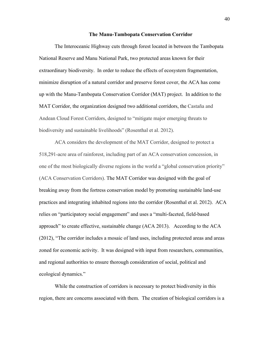#### **The Manu-Tambopata Conservation Corridor**

The Interoceanic Highway cuts through forest located in between the Tambopata National Reserve and Manu National Park, two protected areas known for their extraordinary biodiversity. In order to reduce the effects of ecosystem fragmentation, minimize disruption of a natural corridor and preserve forest cover, the ACA has come up with the Manu-Tambopata Conservation Corridor (MAT) project. In addition to the MAT Corridor, the organization designed two additional corridors, the Castaña and Andean Cloud Forest Corridors, designed to "mitigate major emerging threats to biodiversity and sustainable livelihoods" (Rosenthal et al. 2012).

ACA considers the development of the MAT Corridor, designed to protect a 518,291-acre area of rainforest, including part of an ACA conservation concession, in one of the most biologically diverse regions in the world a "global conservation priority" (ACA Conservation Corridors). The MAT Corridor was designed with the goal of breaking away from the fortress conservation model by promoting sustainable land-use practices and integrating inhabited regions into the corridor (Rosenthal et al. 2012). ACA relies on "participatory social engagement" and uses a "multi-faceted, field-based approach" to create effective, sustainable change (ACA 2013). According to the ACA (2012), "The corridor includes a mosaic of land uses, including protected areas and areas zoned for economic activity. It was designed with input from researchers, communities, and regional authorities to ensure thorough consideration of social, political and ecological dynamics."

While the construction of corridors is necessary to protect biodiversity in this region, there are concerns associated with them. The creation of biological corridors is a

40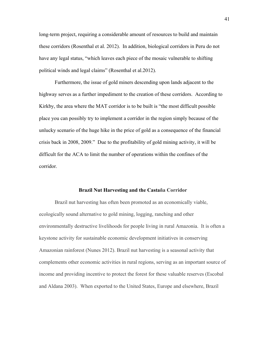long-term project, requiring a considerable amount of resources to build and maintain these corridors (Rosenthal et al. 2012). In addition, biological corridors in Peru do not have any legal status, "which leaves each piece of the mosaic vulnerable to shifting political winds and legal claims" (Rosenthal et al.2012).

Furthermore, the issue of gold miners descending upon lands adjacent to the highway serves as a further impediment to the creation of these corridors. According to Kirkby, the area where the MAT corridor is to be built is "the most difficult possible place you can possibly try to implement a corridor in the region simply because of the unlucky scenario of the huge hike in the price of gold as a consequence of the financial crisis back in 2008, 2009." Due to the profitability of gold mining activity, it will be difficult for the ACA to limit the number of operations within the confines of the corridor.

#### **Brazil Nut Harvesting and the Castaña Corridor**

Brazil nut harvesting has often been promoted as an economically viable, ecologically sound alternative to gold mining, logging, ranching and other environmentally destructive livelihoods for people living in rural Amazonia. It is often a keystone activity for sustainable economic development initiatives in conserving Amazonian rainforest (Nunes 2012). Brazil nut harvesting is a seasonal activity that complements other economic activities in rural regions, serving as an important source of income and providing incentive to protect the forest for these valuable reserves (Escobal and Aldana 2003). When exported to the United States, Europe and elsewhere, Brazil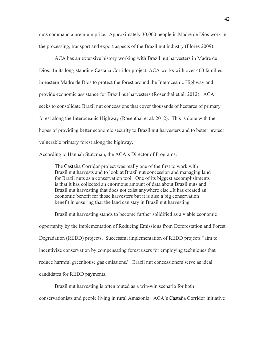nuts command a premium price. Approximately 30,000 people in Madre de Dios work in the processing, transport and export aspects of the Brazil nut industry (Flores 2009).

ACA has an extensive history working with Brazil nut harvesters in Madre de Dios. In its long-standing Castaña Corridor project, ACA works with over 400 families in eastern Madre de Dios to protect the forest around the Interoceanic Highway and provide economic assistance for Brazil nut harvesters (Rosenthal et al. 2012). ACA seeks to consolidate Brazil nut concessions that cover thousands of hectares of primary forest along the Interoceanic Highway (Rosenthal et al. 2012). This is done with the hopes of providing better economic security to Brazil nut harvesters and to better protect vulnerable primary forest along the highway.

According to Hannah Stutzman, the ACA's Director of Programs:

The Castaña Corridor project was really one of the first to work with Brazil nut harvests and to look at Brazil nut concession and managing land for Brazil nuts as a conservation tool. One of its biggest accomplishments is that it has collected an enormous amount of data about Brazil nuts and Brazil nut harvesting that does not exist anywhere else...It has created an economic benefit for those harvesters but it is also a big conservation benefit in ensuring that the land can stay in Brazil nut harvesting.

Brazil nut harvesting stands to become further solidified as a viable economic opportunity by the implementation of Reducing Emissions from Deforestation and Forest Degradation (REDD) projects. Successful implementation of REDD projects "aim to incentivize conservation by compensating forest users for employing techniques that reduce harmful greenhouse gas emissions." Brazil nut concessioners serve as ideal candidates for REDD payments.

Brazil nut harvesting is often touted as a win-win scenario for both conservationists and people living in rural Amazonia. ACA's Castaña Corridor initiative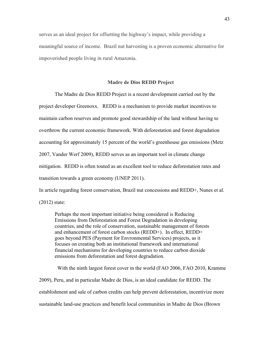serves as an ideal project for offsetting the highway's impact, while providing a meaningful source of income. Brazil nut harvesting is a proven economic alternative for impoverished people living in rural Amazonia.

## **Madre de Dios REDD Project**

The Madre de Dios REDD Project is a recent development carried out by the project developer Greenoxx. REDD is a mechanism to provide market incentives to maintain carbon reserves and promote good stewardship of the land without having to overthrow the current economic framework. With deforestation and forest degradation accounting for approximately 15 percent of the world's greenhouse gas emissions (Metz 2007, Vander Werf 2009), REDD serves as an important tool in climate change mitigation. REDD is often touted as an excellent tool to reduce deforestation rates and transition towards a green economy (UNEP 2011).

In article regarding forest conservation, Brazil nut concessions and REDD+, Nunes et al.

(2012) state:

Perhaps the most important initiative being considered is Reducing Emissions from Deforestation and Forest Degradation in developing countries, and the role of conservation, sustainable management of forests and enhancement of forest carbon stocks (REDD+). In effect, REDD+ goes beyond PES (Payment for Envronmental Services) projects, as it focuses on creating both an institutional framework and international financial mechanisms for developing countries to reduce carbon dioxide emissions from deforestation and forest degradation.

With the ninth largest forest cover in the world (FAO 2006, FAO 2010, Kramme 2009), Peru, and in particular Madre de Dios, is an ideal candidate for REDD. The establishment and sale of carbon credits can help prevent deforestation, incentivize more sustainable land-use practices and benefit local communities in Madre de Dios (Brown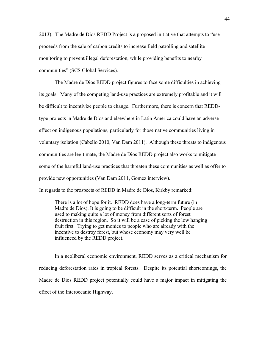2013). The Madre de Dios REDD Project is a proposed initiative that attempts to "use proceeds from the sale of carbon credits to increase field patrolling and satellite monitoring to prevent illegal deforestation, while providing benefits to nearby communities" (SCS Global Services).

The Madre de Dios REDD project figures to face some difficulties in achieving its goals. Many of the competing land-use practices are extremely profitable and it will be difficult to incentivize people to change. Furthermore, there is concern that REDDtype projects in Madre de Dios and elsewhere in Latin America could have an adverse effect on indigenous populations, particularly for those native communities living in voluntary isolation (Cabello 2010, Van Dam 2011). Although these threats to indigenous communities are legitimate, the Madre de Dios REDD project also works to mitigate some of the harmful land-use practices that threaten these communities as well as offer to provide new opportunities (Van Dam 2011, Gomez interview). In regards to the prospects of REDD in Madre de Dios, Kirkby remarked:

There is a lot of hope for it. REDD does have a long-term future (in Madre de Dios). It is going to be difficult in the short-term. People are used to making quite a lot of money from different sorts of forest destruction in this region. So it will be a case of picking the low hanging fruit first. Trying to get monies to people who are already with the incentive to destroy forest, but whose economy may very well be influenced by the REDD project.

In a neoliberal economic environment, REDD serves as a critical mechanism for reducing deforestation rates in tropical forests. Despite its potential shortcomings, the Madre de Dios REDD project potentially could have a major impact in mitigating the effect of the Interoceanic Highway.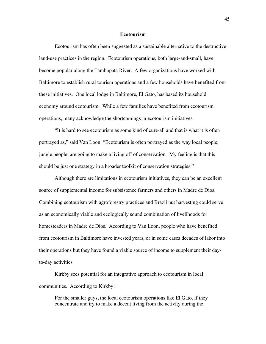## **Ecotourism**

Ecotourism has often been suggested as a sustainable alternative to the destructive land-use practices in the region. Ecotourism operations, both large-and-small, have become popular along the Tambopata River. A few organizations have worked with Baltimore to establish rural tourism operations and a few households have benefited from these initiatives. One local lodge in Baltimore, El Gato, has based its household economy around ecotourism. While a few families have benefited from ecotourism operations, many acknowledge the shortcomings in ecotourism initiatives.

"It is hard to see ecotourism as some kind of cure-all and that is what it is often portrayed as," said Van Loon. "Ecotourism is often portrayed as the way local people, jungle people, are going to make a living off of conservation. My feeling is that this should be just one strategy in a broader toolkit of conservation strategies."

Although there are limitations in ecotourism initiatives, they can be an excellent source of supplemental income for subsistence farmers and others in Madre de Dios. Combining ecotourism with agroforestry practices and Brazil nut harvesting could serve as an economically viable and ecologically sound combination of livelihoods for homesteaders in Madre de Dios. According to Van Loon, people who have benefited from ecotourism in Baltimore have invested years, or in some cases decades of labor into their operations but they have found a viable source of income to supplement their dayto-day activities.

Kirkby sees potential for an integrative approach to ecotourism in local communities. According to Kirkby:

For the smaller guys, the local ecotourism operations like El Gato, if they concentrate and try to make a decent living from the activity during the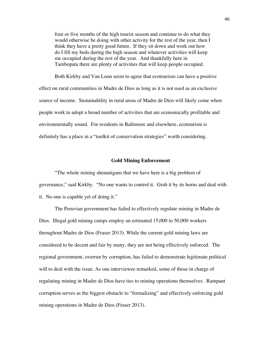four or five months of the high tourist season and continue to do what they would otherwise be doing with other activity for the rest of the year, then I think they have a pretty good future. If they sit down and work out how do I fill my beds during the high season and whatever activities will keep me occupied during the rest of the year. And thankfully here in Tambopata there are plenty of activities that will keep people occupied.

Both Kirkby and Van Loon seem to agree that ecotourism can have a positive effect on rural communities in Madre de Dios as long as it is not used as an exclusive source of income. Sustainability in rural areas of Madre de Dios will likely come when people work to adopt a broad number of activities that are economically profitable and environmentally sound. For residents in Baltimore and elsewhere, ecotourism is definitely has a place in a "toolkit of conservation strategies" worth considering.

## **Gold Mining Enforcement**

"The whole mining shenanigans that we have here is a big problem of governance," said Kirkby. "No one wants to control it. Grab it by its horns and deal with it. No one is capable yet of doing it."

The Peruvian government has failed to effectively regulate mining in Madre de Dios. Illegal gold mining camps employ an estimated 15,000 to 50,000 workers throughout Madre de Dios (Fraser 2013). While the current gold mining laws are considered to be decent and fair by many, they are not being effectively enforced. The regional government, overrun by corruption, has failed to demonstrate legitimate political will to deal with the issue. As one interviewee remarked, some of those in charge of regulating mining in Madre de Dios have ties to mining operations themselves. Rampant corruption serves as the biggest obstacle to "formalizing" and effectively enforcing gold mining operations in Madre de Dios (Fraser 2013).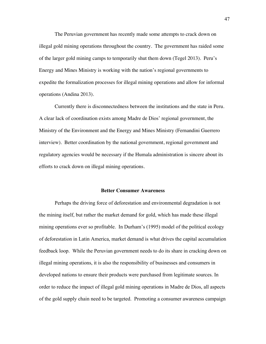The Peruvian government has recently made some attempts to crack down on illegal gold mining operations throughout the country. The government has raided some of the larger gold mining camps to temporarily shut them down (Tegel 2013). Peru's Energy and Mines Ministry is working with the nation's regional governments to expedite the formalization processes for illegal mining operations and allow for informal operations (Andina 2013).

Currently there is disconnectedness between the institutions and the state in Peru. A clear lack of coordination exists among Madre de Dios' regional government, the Ministry of the Environment and the Energy and Mines Ministry (Fernandini Guerrero interview). Better coordination by the national government, regional government and regulatory agencies would be necessary if the Humala administration is sincere about its efforts to crack down on illegal mining operations.

#### **Better Consumer Awareness**

Perhaps the driving force of deforestation and environmental degradation is not the mining itself, but rather the market demand for gold, which has made these illegal mining operations ever so profitable. In Durham's (1995) model of the political ecology of deforestation in Latin America, market demand is what drives the capital accumulation feedback loop. While the Peruvian government needs to do its share in cracking down on illegal mining operations, it is also the responsibility of businesses and consumers in developed nations to ensure their products were purchased from legitimate sources. In order to reduce the impact of illegal gold mining operations in Madre de Dios, all aspects of the gold supply chain need to be targeted. Promoting a consumer awareness campaign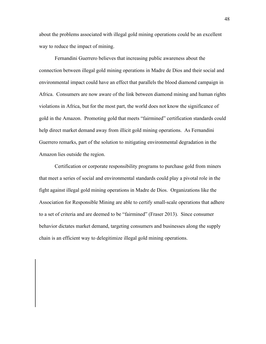about the problems associated with illegal gold mining operations could be an excellent way to reduce the impact of mining.

Fernandini Guerrero believes that increasing public awareness about the connection between illegal gold mining operations in Madre de Dios and their social and environmental impact could have an effect that parallels the blood diamond campaign in Africa. Consumers are now aware of the link between diamond mining and human rights violations in Africa, but for the most part, the world does not know the significance of gold in the Amazon. Promoting gold that meets "fairmined" certification standards could help direct market demand away from illicit gold mining operations. As Fernandini Guerrero remarks, part of the solution to mitigating environmental degradation in the Amazon lies outside the region.

Certification or corporate responsibility programs to purchase gold from miners that meet a series of social and environmental standards could play a pivotal role in the fight against illegal gold mining operations in Madre de Dios. Organizations like the Association for Responsible Mining are able to certify small-scale operations that adhere to a set of criteria and are deemed to be "fairmined" (Fraser 2013). Since consumer behavior dictates market demand, targeting consumers and businesses along the supply chain is an efficient way to delegitimize illegal gold mining operations.

48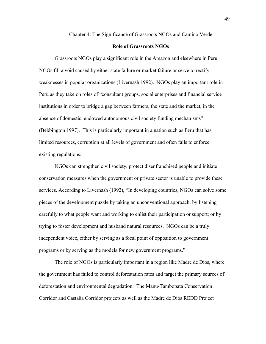#### Chapter 4: The Significance of Grassroots NGOs and Camino Verde

## **Role of Grassroots NGOs**

Grassroots NGOs play a significant role in the Amazon and elsewhere in Peru. NGOs fill a void caused by either state failure or market failure or serve to rectify weaknesses in popular organizations (Livernash 1992). NGOs play an important role in Peru as they take on roles of "consultant groups, social enterprises and financial service institutions in order to bridge a gap between farmers, the state and the market, in the absence of domestic, endowed autonomous civil society funding mechanisms" (Bebbington 1997). This is particularly important in a nation such as Peru that has limited resources, corruption at all levels of government and often fails to enforce existing regulations.

NGOs can strengthen civil society, protect disenfranchised people and initiate conservation measures when the government or private sector is unable to provide these services. According to Livernash (1992), "In developing countries, NGOs can solve some pieces of the development puzzle by taking an unconventional approach; by listening carefully to what people want and working to enlist their participation or support; or by trying to foster development and husband natural resources. NGOs can be a truly independent voice, either by serving as a focal point of opposition to government programs or by serving as the models for new government programs."

The role of NGOs is particularly important in a region like Madre de Dios, where the government has failed to control deforestation rates and target the primary sources of deforestation and environmental degradation. The Manu-Tambopata Conservation Corridor and Castaña Corridor projects as well as the Madre de Dios REDD Project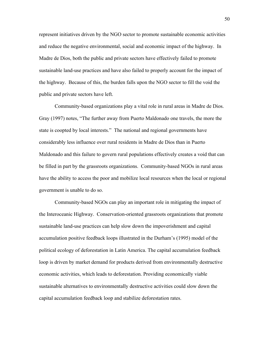represent initiatives driven by the NGO sector to promote sustainable economic activities and reduce the negative environmental, social and economic impact of the highway. In Madre de Dios, both the public and private sectors have effectively failed to promote sustainable land-use practices and have also failed to properly account for the impact of the highway. Because of this, the burden falls upon the NGO sector to fill the void the public and private sectors have left.

Community-based organizations play a vital role in rural areas in Madre de Dios. Gray (1997) notes, "The further away from Puerto Maldonado one travels, the more the state is coopted by local interests." The national and regional governments have considerably less influence over rural residents in Madre de Dios than in Puerto Maldonado and this failure to govern rural populations effectively creates a void that can be filled in part by the grassroots organizations. Community-based NGOs in rural areas have the ability to access the poor and mobilize local resources when the local or regional government is unable to do so.

Community-based NGOs can play an important role in mitigating the impact of the Interoceanic Highway. Conservation-oriented grassroots organizations that promote sustainable land-use practices can help slow down the impoverishment and capital accumulation positive feedback loops illustrated in the Durham's (1995) model of the political ecology of deforestation in Latin America. The capital accumulation feedback loop is driven by market demand for products derived from environmentally destructive economic activities, which leads to deforestation. Providing economically viable sustainable alternatives to environmentally destructive activities could slow down the capital accumulation feedback loop and stabilize deforestation rates.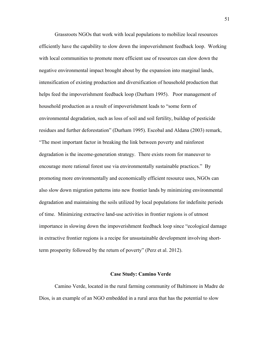Grassroots NGOs that work with local populations to mobilize local resources efficiently have the capability to slow down the impoverishment feedback loop. Working with local communities to promote more efficient use of resources can slow down the negative environmental impact brought about by the expansion into marginal lands, intensification of existing production and diversification of household production that helps feed the impoverishment feedback loop (Durham 1995). Poor management of household production as a result of impoverishment leads to "some form of environmental degradation, such as loss of soil and soil fertility, buildup of pesticide residues and further deforestation" (Durham 1995). Escobal and Aldana (2003) remark, "The most important factor in breaking the link between poverty and rainforest degradation is the income-generation strategy. There exists room for maneuver to encourage more rational forest use via environmentally sustainable practices." By promoting more environmentally and economically efficient resource uses, NGOs can also slow down migration patterns into new frontier lands by minimizing environmental degradation and maintaining the soils utilized by local populations for indefinite periods of time. Minimizing extractive land-use activities in frontier regions is of utmost importance in slowing down the impoverishment feedback loop since "ecological damage in extractive frontier regions is a recipe for unsustainable development involving shortterm prosperity followed by the return of poverty" (Perz et al. 2012).

#### **Case Study: Camino Verde**

Camino Verde, located in the rural farming community of Baltimore in Madre de Dios, is an example of an NGO embedded in a rural area that has the potential to slow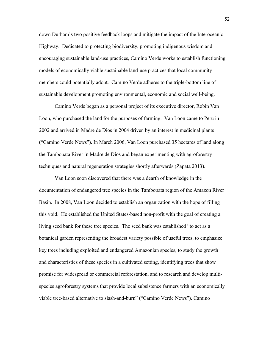down Durham's two positive feedback loops and mitigate the impact of the Interoceanic Highway. Dedicated to protecting biodiversity, promoting indigenous wisdom and encouraging sustainable land-use practices, Camino Verde works to establish functioning models of economically viable sustainable land-use practices that local community members could potentially adopt. Camino Verde adheres to the triple-bottom line of sustainable development promoting environmental, economic and social well-being.

Camino Verde began as a personal project of its executive director, Robin Van Loon, who purchased the land for the purposes of farming. Van Loon came to Peru in 2002 and arrived in Madre de Dios in 2004 driven by an interest in medicinal plants ("Camino Verde News"). In March 2006, Van Loon purchased 35 hectares of land along the Tambopata River in Madre de Dios and began experimenting with agroforestry techniques and natural regeneration strategies shortly afterwards (Zapata 2013).

Van Loon soon discovered that there was a dearth of knowledge in the documentation of endangered tree species in the Tambopata region of the Amazon River Basin. In 2008, Van Loon decided to establish an organization with the hope of filling this void. He established the United States-based non-profit with the goal of creating a living seed bank for these tree species. The seed bank was established "to act as a botanical garden representing the broadest variety possible of useful trees, to emphasize key trees including exploited and endangered Amazonian species, to study the growth and characteristics of these species in a cultivated setting, identifying trees that show promise for widespread or commercial reforestation, and to research and develop multispecies agroforestry systems that provide local subsistence farmers with an economically viable tree-based alternative to slash-and-burn" ("Camino Verde News"). Camino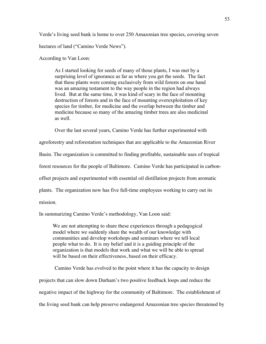Verde's living seed bank is home to over 250 Amazonian tree species, covering seven hectares of land ("Camino Verde News").

According to Van Loon:

As I started looking for seeds of many of those plants, I was met by a surprising level of ignorance as far as where you get the seeds. The fact that these plants were coming exclusively from wild forests on one hand was an amazing testament to the way people in the region had always lived. But at the same time, it was kind of scary in the face of mounting destruction of forests and in the face of mounting overexploitation of key species for timber, for medicine and the overlap between the timber and medicine because so many of the amazing timber trees are also medicinal as well.

Over the last several years, Camino Verde has further experimented with

agroforestry and reforestation techniques that are applicable to the Amazonian River

Basin. The organization is committed to finding profitable, sustainable uses of tropical

forest resources for the people of Baltimore. Camino Verde has participated in carbon-

offset projects and experimented with essential oil distillation projects from aromatic

plants. The organization now has five full-time employees working to carry out its

mission.

In summarizing Camino Verde's methodology, Van Loon said:

We are not attempting to share these experiences through a pedagogical model where we suddenly share the wealth of our knowledge with communities and develop workshops and seminars where we tell local people what to do. It is my belief and it is a guiding principle of the organization is that models that work and what we will be able to spread will be based on their effectiveness, based on their efficacy.

Camino Verde has evolved to the point where it has the capacity to design projects that can slow down Durham's two positive feedback loops and reduce the negative impact of the highway for the community of Baltimore. The establishment of the living seed bank can help preserve endangered Amazonian tree species threatened by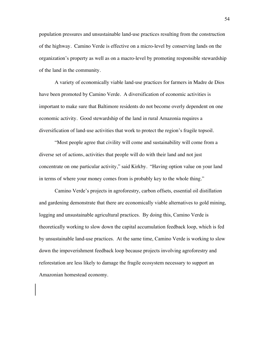population pressures and unsustainable land-use practices resulting from the construction of the highway. Camino Verde is effective on a micro-level by conserving lands on the organization's property as well as on a macro-level by promoting responsible stewardship of the land in the community.

A variety of economically viable land-use practices for farmers in Madre de Dios have been promoted by Camino Verde. A diversification of economic activities is important to make sure that Baltimore residents do not become overly dependent on one economic activity. Good stewardship of the land in rural Amazonia requires a diversification of land-use activities that work to protect the region's fragile topsoil.

"Most people agree that civility will come and sustainability will come from a diverse set of actions, activities that people will do with their land and not just concentrate on one particular activity," said Kirkby. "Having option value on your land in terms of where your money comes from is probably key to the whole thing."

Camino Verde's projects in agroforestry, carbon offsets, essential oil distillation and gardening demonstrate that there are economically viable alternatives to gold mining, logging and unsustainable agricultural practices. By doing this, Camino Verde is theoretically working to slow down the capital accumulation feedback loop, which is fed by unsustainable land-use practices. At the same time, Camino Verde is working to slow down the impoverishment feedback loop because projects involving agroforestry and reforestation are less likely to damage the fragile ecosystem necessary to support an Amazonian homestead economy.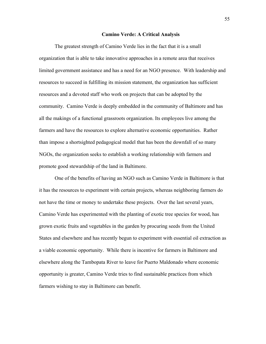#### **Camino Verde: A Critical Analysis**

The greatest strength of Camino Verde lies in the fact that it is a small organization that is able to take innovative approaches in a remote area that receives limited government assistance and has a need for an NGO presence. With leadership and resources to succeed in fulfilling its mission statement, the organization has sufficient resources and a devoted staff who work on projects that can be adopted by the community. Camino Verde is deeply embedded in the community of Baltimore and has all the makings of a functional grassroots organization. Its employees live among the farmers and have the resources to explore alternative economic opportunities. Rather than impose a shortsighted pedagogical model that has been the downfall of so many NGOs, the organization seeks to establish a working relationship with farmers and promote good stewardship of the land in Baltimore.

One of the benefits of having an NGO such as Camino Verde in Baltimore is that it has the resources to experiment with certain projects, whereas neighboring farmers do not have the time or money to undertake these projects. Over the last several years, Camino Verde has experimented with the planting of exotic tree species for wood, has grown exotic fruits and vegetables in the garden by procuring seeds from the United States and elsewhere and has recently begun to experiment with essential oil extraction as a viable economic opportunity. While there is incentive for farmers in Baltimore and elsewhere along the Tambopata River to leave for Puerto Maldonado where economic opportunity is greater, Camino Verde tries to find sustainable practices from which farmers wishing to stay in Baltimore can benefit.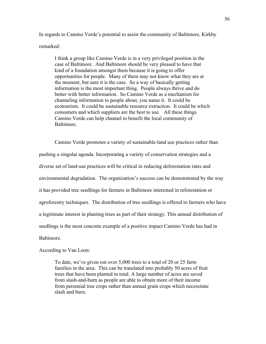In regards to Camino Verde's potential to assist the community of Baltimore, Kirkby remarked:

I think a group like Camino Verde is in a very privileged position in the case of Baltimore. And Baltimore should be very pleased to have that kind of a foundation amongst them because it is going to offer opportunities for people. Many of them may not know what they are at the moment, but sure it is the case. So a way of basically getting information is the most important thing. People always thrive and do better with better information. So Camino Verde as a mechanism for channeling information to people about, you name it. It could be ecotourism. It could be sustainable resource extraction. It could be which consumers and which suppliers are the best to use. All these things Camino Verde can help channel to benefit the local community of Baltimore.

Camino Verde promotes a variety of sustainable-land use practices rather than pushing a singular agenda. Incorporating a variety of conservation strategies and a diverse set of land-use practices will be critical in reducing deforestation rates and environmental degradation. The organization's success can be demonstrated by the way it has provided tree seedlings for farmers in Baltimore interested in reforestation or agroforestry techniques. The distribution of tree seedlings is offered to farmers who have a legitimate interest in planting trees as part of their strategy. This annual distribution of seedlings is the most concrete example of a positive impact Camino Verde has had in Baltimore.

## According to Van Loon:

To date, we've given out over 5,000 trees to a total of 20 or 25 farm families in the area. This can be translated into probably 50 acres of fruit trees that have been planted in total. A large number of acres are saved from slash-and-burn as people are able to obtain more of their income from perennial tree crops rather than annual grain crops which necessitate slash and burn.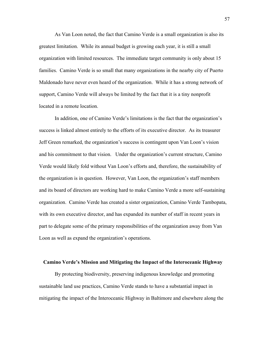As Van Loon noted, the fact that Camino Verde is a small organization is also its greatest limitation. While its annual budget is growing each year, it is still a small organization with limited resources. The immediate target community is only about 15 families. Camino Verde is so small that many organizations in the nearby city of Puerto Maldonado have never even heard of the organization. While it has a strong network of support, Camino Verde will always be limited by the fact that it is a tiny nonprofit located in a remote location.

In addition, one of Camino Verde's limitations is the fact that the organization's success is linked almost entirely to the efforts of its executive director. As its treasurer Jeff Green remarked, the organization's success is contingent upon Van Loon's vision and his commitment to that vision. Under the organization's current structure, Camino Verde would likely fold without Van Loon's efforts and, therefore, the sustainability of the organization is in question. However, Van Loon, the organization's staff members and its board of directors are working hard to make Camino Verde a more self-sustaining organization. Camino Verde has created a sister organization, Camino Verde Tambopata, with its own executive director, and has expanded its number of staff in recent years in part to delegate some of the primary responsibilities of the organization away from Van Loon as well as expand the organization's operations.

#### **Camino Verde's Mission and Mitigating the Impact of the Interoceanic Highway**

By protecting biodiversity, preserving indigenous knowledge and promoting sustainable land use practices, Camino Verde stands to have a substantial impact in mitigating the impact of the Interoceanic Highway in Baltimore and elsewhere along the

57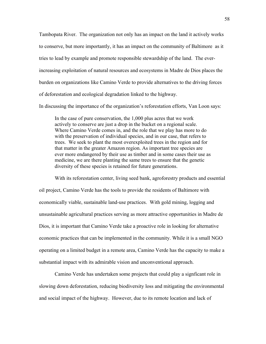Tambopata River. The organization not only has an impact on the land it actively works to conserve, but more importantly, it has an impact on the community of Baltimore as it tries to lead by example and promote responsible stewardship of the land. The everincreasing exploitation of natural resources and ecosystems in Madre de Dios places the burden on organizations like Camino Verde to provide alternatives to the driving forces of deforestation and ecological degradation linked to the highway.

In discussing the importance of the organization's reforestation efforts, Van Loon says:

In the case of pure conservation, the 1,000 plus acres that we work actively to conserve are just a drop in the bucket on a regional scale. Where Camino Verde comes in, and the role that we play has more to do with the preservation of individual species, and in our case, that refers to trees. We seek to plant the most overexploited trees in the region and for that matter in the greater Amazon region. As important tree species are ever more endangered by their use as timber and in some cases their use as medicine, we are there planting the same trees to ensure that the genetic diversity of these species is retained for future generations.

With its reforestation center, living seed bank, agroforestry products and essential oil project, Camino Verde has the tools to provide the residents of Baltimore with economically viable, sustainable land-use practices. With gold mining, logging and unsustainable agricultural practices serving as more attractive opportunities in Madre de Dios, it is important that Camino Verde take a proactive role in looking for alternative economic practices that can be implemented in the community. While it is a small NGO operating on a limited budget in a remote area, Camino Verde has the capacity to make a substantial impact with its admirable vision and unconventional approach.

Camino Verde has undertaken some projects that could play a signficant role in slowing down deforestation, reducing biodiversity loss and mitigating the environmental and social impact of the highway. However, due to its remote location and lack of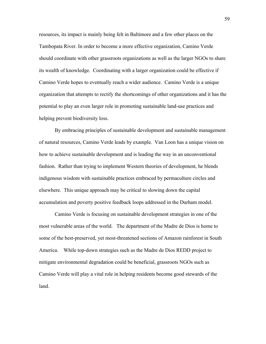resources, its impact is mainly being felt in Baltimore and a few other places on the Tambopata River. In order to become a more effective organization, Camino Verde should coordinate with other grassroots organizations as well as the larger NGOs to share its wealth of knowledge. Coordinating with a larger organization could be effective if Camino Verde hopes to eventually reach a wider audience. Camino Verde is a unique organization that attempts to rectify the shortcomings of other organizations and it has the potential to play an even larger role in promoting sustainable land-use practices and helping prevent biodiversity loss.

By embracing principles of sustainable development and sustainable management of natural resources, Camino Verde leads by example. Van Loon has a unique vision on how to achieve sustainable development and is leading the way in an unconventional fashion. Rather than trying to implement Western theories of development, he blends indigenous wisdom with sustainable practices embraced by permaculture circles and elsewhere. This unique approach may be critical to slowing down the capital accumulation and poverty positive feedback loops addressed in the Durham model.

Camino Verde is focusing on sustainable development strategies in one of the most vulnerable areas of the world. The department of the Madre de Dios is home to some of the best-preserved, yet most-threatened sections of Amazon rainforest in South America. While top-down strategies such as the Madre de Dios REDD project to mitigate environmental degradation could be beneficial, grassroots NGOs such as Camino Verde will play a vital role in helping residents become good stewards of the land.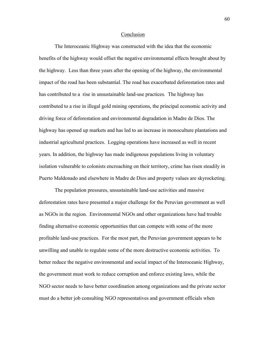#### Conclusion

The Interoceanic Highway was constructed with the idea that the economic benefits of the highway would offset the negative environmental effects brought about by the highway. Less than three years after the opening of the highway, the environmental impact of the road has been substantial. The road has exacerbated deforestation rates and has contributed to a rise in unsustainable land-use practices. The highway has contributed to a rise in illegal gold mining operations, the principal economic activity and driving force of deforestation and environmental degradation in Madre de Dios. The highway has opened up markets and has led to an increase in monoculture plantations and industrial agricultural practices. Logging operations have increased as well in recent years. In addition, the highway has made indigenous populations living in voluntary isolation vulnerable to colonists encroaching on their territory, crime has risen steadily in Puerto Maldonado and elsewhere in Madre de Dios and property values are skyrocketing.

The population pressures, unsustainable land-use activities and massive deforestation rates have presented a major challenge for the Peruvian government as well as NGOs in the region. Environmental NGOs and other organizations have had trouble finding alternative economic opportunities that can compete with some of the more profitable land-use practices. For the most part, the Peruvian government appears to be unwilling and unable to regulate some of the more destructive economic activities. To better reduce the negative environmental and social impact of the Interoceanic Highway, the government must work to reduce corruption and enforce existing laws, while the NGO sector needs to have better coordination among organizations and the private sector must do a better job consulting NGO representatives and government officials when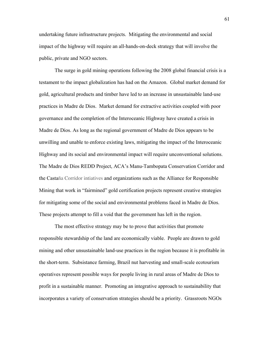undertaking future infrastructure projects. Mitigating the environmental and social impact of the highway will require an all-hands-on-deck strategy that will involve the public, private and NGO sectors.

The surge in gold mining operations following the 2008 global financial crisis is a testament to the impact globalization has had on the Amazon. Global market demand for gold, agricultural products and timber have led to an increase in unsustainable land-use practices in Madre de Dios. Market demand for extractive activities coupled with poor governance and the completion of the Interoceanic Highway have created a crisis in Madre de Dios. As long as the regional government of Madre de Dios appears to be unwilling and unable to enforce existing laws, mitigating the impact of the Interoceanic Highway and its social and environmental impact will require unconventional solutions. The Madre de Dios REDD Project, ACA's Manu-Tambopata Conservation Corridor and the Castaña Corridor intiatives and organizations such as the Alliance for Responsible Mining that work in "fairmined" gold certification projects represent creative strategies for mitigating some of the social and environmental problems faced in Madre de Dios. These projects attempt to fill a void that the government has left in the region.

The most effective strategy may be to prove that activities that promote responsible stewardship of the land are economically viable. People are drawn to gold mining and other unsustainable land-use practices in the region because it is profitable in the short-term. Subsistance farming, Brazil nut harvesting and small-scale ecotourism operatives represent possible ways for people living in rural areas of Madre de Dios to profit in a sustainable manner. Promoting an integrative approach to sustainability that incorporates a variety of conservation strategies should be a priority. Grassroots NGOs

61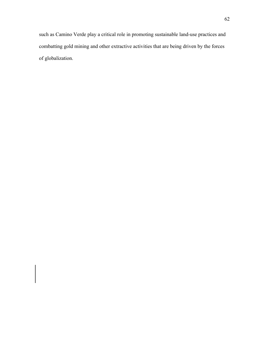such as Camino Verde play a critical role in promoting sustainable land-use practices and combatting gold mining and other extractive activities that are being driven by the forces of globalization.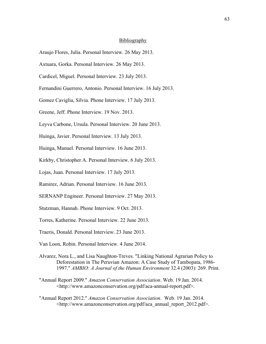## Bibliography

- Araujo Flores, Julia. Personal Interview. 26 May 2013.
- Axtuara, Gorka. Personal Interview. 26 May 2013.
- Cardicel, Miguel. Personal Interview. 23 July 2013.
- Fernandini Guerrero, Antonio. Personal Interview. 16 July 2013.
- Gomez Caviglia, Silvia. Phone Interview. 17 July 2013.
- Greene, Jeff. Phone Interview. 19 Nov. 2013.
- Leyva Carbone, Ursula. Personal Interview. 20 June 2013.
- Huinga, Javier. Personal Interview. 13 July 2013.
- Huinga, Manuel. Personal Interview. 16 June 2013.
- Kirkby, Christopher A. Personal Interview. 6 July 2013.
- Lojas, Juan. Personal Interview. 17 July 2013.
- Ramirez, Adrian. Personal Interview. 16 June 2013.
- SERNANP Engineer. Personal Interview. 27 May 2013.
- Stutzman, Hannah. Phone Interview. 9 Oct. 2013.
- Torres, Katherine. Personal Interview. 22 June 2013.
- Traeris, Donald. Personal Interview. 23 June 2013.
- Van Loon, Robin. Personal Interview. 4 June 2014.
- Alvarez, Nora L., and Lisa Naughton-Treves. "Linking National Agrarian Policy to Deforestation in The Peruvian Amazon: A Case Study of Tambopata, 1986- 1997." *AMBIO: A Journal of the Human Environment* 32.4 (2003): 269. Print.
- "Annual Report 2009." *Amazon Conservation Association*. Web. 19 Jan. 2014. <http://www.amazonconservation.org/pdf/aca-annual-report.pdf>.
- "Annual Report 2012." *Amazon Conservation Association*. Web. 19 Jan. 2014. <http://www.amazonconservation.org/pdf/aca\_annual\_report\_2012.pdf>.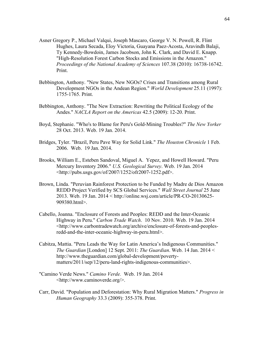- Asner Gregory P., Michael Valqui, Joseph Mascaro, George V. N. Powell, R. Flint Hughes, Laura Secada, Eloy Victoria, Guayana Paez-Acosta, Aravindh Balaji, Ty Kennedy-Bowdoin, James Jacobson, John K. Clark, and David E. Knapp. "High-Resolution Forest Carbon Stocks and Emissions in the Amazon." *Proceedings of the National Academy of Sciences* 107.38 (2010): 16738-16742. Print.
- Bebbington, Anthony. "New States, New NGOs? Crises and Transitions among Rural Development NGOs in the Andean Region." *World Development* 25.11 (1997): 1755-1765. Print.
- Bebbington, Anthony. "The New Extraction: Rewriting the Political Ecology of the Andes." *NACLA Report on the Americas* 42.5 (2009): 12-20. Print.
- Boyd, Stephanie. "Who's to Blame for Peru's Gold-Mining Troubles?" *The New Yorker* 28 Oct. 2013. Web. 19 Jan. 2014.
- Bridges, Tyler. "Brazil, Peru Pave Way for Solid Link." *The Houston Chronicle* 1 Feb. 2006. Web. 19 Jan. 2014.
- Brooks, William E., Esteben Sandoval, Miguel A. Yepez, and Howell Howard. "Peru Mercury Inventory 2006." *U.S. Geological Survey*. Web. 19 Jan. 2014 <http://pubs.usgs.gov/of/2007/1252/ofr2007-1252.pdf>.
- Brown, Linda. "Peruvian Rainforest Protection to be Funded by Madre de Dios Amazon REDD Project Verified by SCS Global Services." *Wall Street Journal* 25 June 2013. Web. 19 Jan. 2014 < http://online.wsj.com/article/PR-CO-20130625- 909380.html>.
- Cabello, Joanna. "Enclosure of Forests and Peoples: REDD and the Inter-Oceanic Highway in Peru." *Carbon Trade Watch*. 10 Nov. 2010. Web. 19 Jan. 2014 <http://www.carbontradewatch.org/archive/enclosure-of-forests-and-peoplesredd-and-the-inter-oceanic-highway-in-peru.html>.
- Cabitza, Mattia. "Peru Leads the Way for Latin America's Indigenous Communities." *The Guardian* [London] 12 Sept. 2011: *The Guardian*. Web. 14 Jan. 2014 < http://www.theguardian.com/global-development/povertymatters/2011/sep/12/peru-land-rights-indigenous-communities>.
- "Camino Verde News." *Camino Verde.* Web. 19 Jan. 2014 <http://www.caminoverde.org/>.
- Carr, David. "Population and Deforestation: Why Rural Migration Matters." *Progress in Human Geography* 33.3 (2009): 355-378. Print.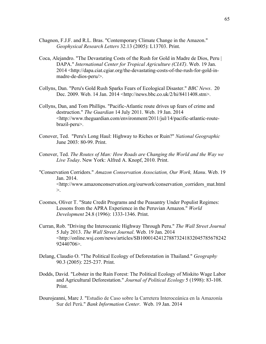- Chagnon, F.J.F. and R.L. Bras. "Contemporary Climate Change in the Amazon." *Geophysical Research Letters* 32.13 (2005): L13703. Print.
- Coca, Alejandro. "The Devastating Costs of the Rush for Gold in Madre de Dios, Peru | DAPA." *International Center for Tropical Agriculture (CIAT)*. Web. 19 Jan. 2014 <http://dapa.ciat.cgiar.org/the-devastating-costs-of-the-rush-for-gold-inmadre-de-dios-peru/>.
- Collyns, Dan. "Peru's Gold Rush Sparks Fears of Ecological Disaster." *BBC News*. 20 Dec. 2009. Web. 14 Jan. 2014 <http://news.bbc.co.uk/2/hi/8411408.stm>.
- Collyns, Dan, and Tom Phillips. "Pacific-Atlantic route drives up fears of crime and destruction." *The Guardian* 14 July 2011. Web. 19 Jan. 2014 <http://www.theguardian.com/environment/2011/jul/14/pacific-atlantic-routebrazil-peru>.
- Conover, Ted. "Peru's Long Haul: Highway to Riches or Ruin?" *National Geographic* June 2003: 80-99. Print.
- Conover, Ted. *The Routes of Man: How Roads are Changing the World and the Way we Live Today*. New York: Alfred A. Knopf, 2010. Print.
- "Conservation Corridors." *Amazon Conservation Association, Our Work, Manu*. Web. 19 Jan. 2014. <http://www.amazonconservation.org/ourwork/conservation\_corridors\_mat.html  $>_{\cdot}$
- Coomes, Oliver T. "State Credit Programs and the Peasantry Under Populist Regimes: Lessons from the APRA Experience in the Peruvian Amazon." *World Development* 24.8 (1996): 1333-1346. Print.
- Curran, Rob. "Driving the Interoceanic Highway Through Peru." *The Wall Street Journal* 5 July 2013. *The Wall Street Journal*. Web. 19 Jan. 2014 <http://online.wsj.com/news/articles/SB100014241278873241832045785678242 92440706>.
- Delang, Claudio O. "The Political Ecology of Deforestation in Thailand." *Geography* 90.3 (2005): 225-237. Print.
- Dodds, David. "Lobster in the Rain Forest: The Political Ecology of Miskito Wage Labor and Agricultural Deforestation." *Journal of Political Ecology* 5 (1998): 83-108. Print.
- Dourojeanni, Marc J. "Estudio de Caso sobre la Carretera Interoceánica en la Amazonía Sur del Perú." *Bank Information Center*. Web. 19 Jan. 2014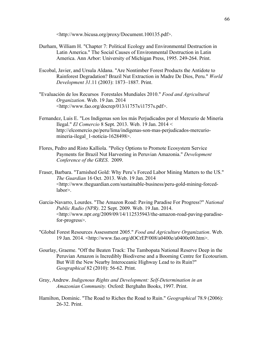<http://www.bicusa.org/proxy/Document.100135.pdf>.

- Durham, William H. "Chapter 7: Political Ecology and Environmental Destruction in Latin America." The Social Causes of Environmental Destruction in Latin America. Ann Arbor: University of Michigan Press, 1995. 249-264. Print.
- Escobal, Javier, and Ursula Aldana. "Are Nontimber Forest Products the Antidote to Rainforest Degradation? Brazil Nut Extraction in Madre De Dios, Peru." *World Development 31*.11 (2003): 1873–1887. Print.
- "Evaluación de los Recursos Forestales Mundiales 2010." *Food and Agricultural Organization*. Web. 19 Jan. 2014 <http://www.fao.org/docrep/013/i1757s/i1757s.pdf>.
- Fernandez, Luis E. "Los Indígenas son los más Perjudicados por el Mercurio de Minería Ilegal." *El Comercio* 8 Sept. 2013. Web. 19 Jan. 2014 < http://elcomercio.pe/peru/lima/indigenas-son-mas-perjudicados-mercuriomineria-ilegal\_1-noticia-1628498>.
- Flores, Pedro and Risto Kalliola. "Policy Options to Promote Ecosystem Service Payments for Brazil Nut Harvesting in Peruvian Amazonia." *Development Conference of the GRES*. 2009.
- Fraser, Barbara. "Tarnished Gold: Why Peru's Forced Labor Mining Matters to the US." *The Guardian* 16 Oct. 2013. Web. 19 Jan. 2014 <http://www.theguardian.com/sustainable-business/peru-gold-mining-forcedlabor>.
- Garcia-Navarro, Lourdes. "The Amazon Road: Paving Paradise For Progress?" *National Public Radio (NPR)*. 22 Sept. 2009. Web. 19 Jan. 2014. <http://www.npr.org/2009/09/14/112535943/the-amazon-road-paving-paradisefor-progress>.
- "Global Forest Resources Assessment 2005." *Food and Agriculture Organization*. Web. 19 Jan. 2014. <http://www.fao.org/dOCrEP/008/a0400e/a0400e00.htm>.
- Gourlay, Graeme. "Off the Beaten Track: The Tambopata National Reserve Deep in the Peruvian Amazon is Incredibly Biodiverse and a Booming Centre for Ecotourism. But Will the New Nearby Interoceanic Highway Lead to its Ruin?" *Geographical* 82 (2010): 56-62. Print.
- Gray, Andrew. *Indigenous Rights and Development: Self-Determination in an Amazonian Community.* Oxford: Berghahn Books, 1997. Print.
- Hamilton, Dominic. "The Road to Riches the Road to Ruin." *Geographical* 78.9 (2006): 26-32. Print.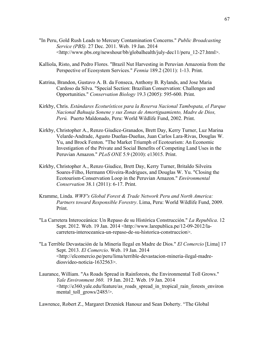- "In Peru, Gold Rush Leads to Mercury Contamination Concerns." *Public Broadcasting Service (PBS).* 27 Dec. 2011. Web. 19 Jan. 2014 <http://www.pbs.org/newshour/bb/globalhealth/july-dec11/peru\_12-27.html>.
- Kalliola, Risto, and Pedro Flores. "Brazil Nut Harvesting in Peruvian Amazonia from the Perspective of Ecosystem Services." *Fennia* 189.2 (2011): 1-13. Print.
- Katrina, Brandon, Gustavo A. B. da Fonseca, Anthony B. Rylands, and Jose Maria Cardoso da Silva. "Special Section: Brazilian Conservation: Challenges and Opportunities." *Conservation Biology* 19.3 (2005): 595-600. Print.
- Kirkby, Chris. *Estándares Ecoturísticos para la Reserva Nacional Tambopata, el Parque Nacional Bahuaja Sonene y sus Zonas de Amortiguamiento, Madre de Dios, Perú.* Puerto Maldonado, Peru: World Wildlife Fund, 2002. Print.
- Kirkby, Christopher A., Renzo Giudice-Granados, Brett Day, Kerry Turner, Luz Marina Velarde-Andrade, Agusto Dueñas-Dueñas, Juan Carlos Lara-Rivas, Douglas W. Yu, and Brock Fenton. "The Market Triumph of Ecotourism: An Economic Investigation of the Private and Social Benefits of Competing Land Uses in the Peruvian Amazon." *PLoS ONE* 5.9 (2010): e13015. Print.
- Kirkby, Christopher A., Renzo Giudice, Brett Day, Kerry Turner, Britaldo Silveira Soares-Filho, Hermann Oliveira-Rodrigues, and Douglas W. Yu. "Closing the Ecotourism-Conservation Loop in the Peruvian Amazon." *Environmental Conservation* 38.1 (2011): 6-17. Print.
- Kramme, Linda. *WWF's Global Forest & Trade Network Peru and North America: Partners toward Responsible Forestry*. Lima, Peru: World Wildlife Fund, 2009. Print.
- "La Carretera Interoceánica: Un Repaso de su Histórica Construcción." *La Republica*. 12 Sept. 2012. Web. 19 Jan. 2014 <http://www.larepublica.pe/12-09-2012/lacarretera-interoceanica-un-repaso-de-su-historica-construccion>.
- "La Terrible Devastación de la Minería Ilegal en Madre de Dios." *El Comercio* [Lima] 17 Sept. 2013. *El Comercio*. Web. 19 Jan. 2014 <http://elcomercio.pe/peru/lima/terrible-devastacion-mineria-ilegal-madrediosvideo-noticia-1632563>.
- Laurance, William. "As Roads Spread in Rainforests, the Environmental Toll Grows." *Yale Environment 360*. 19 Jan. 2012. Web. 19 Jan. 2014 <http://e360.yale.edu/feature/as\_roads\_spread\_in\_tropical\_rain\_forests\_environ mental toll grows/2485/>.

Lawrence, Robert Z., Margaret Drzeniek Hanouz and Sean Doherty. "The Global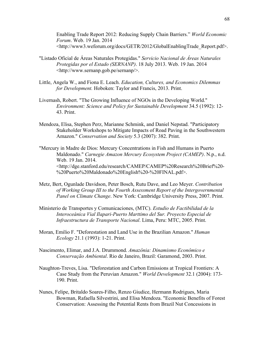Enabling Trade Report 2012: Reducing Supply Chain Barriers." *World Economic Forum*. Web. 19 Jan. 2014 <http://www3.weforum.org/docs/GETR/2012/GlobalEnablingTrade\_Report.pdf>.

- "Listado Oficial de Áreas Naturales Protegidas." *Servicio Nacional de Áreas Naturales Protegidas por el Estado (SERNANP)*. 18 July 2013. Web. 19 Jan. 2014 <http://www.sernanp.gob.pe/sernanp/>.
- Little, Angela W., and Fiona E. Leach. *Education, Cultures, and Economics Dilemmas for Development.* Hoboken: Taylor and Francis, 2013. Print.
- Livernash, Robert. "The Growing Influence of NGOs in the Developing World." *Environment: Science and Policy for Sustainable Development* 34.5 (1992): 12- 43. Print.
- Mendoza, Elisa, Stephen Perz, Marianne Schmink, and Daniel Nepstad. "Participatory Stakeholder Workshops to Mitigate Impacts of Road Paving in the Southwestern Amazon." *Conservation and Society* 5.3 (2007): 382. Print.
- "Mercury in Madre de Dios: Mercury Concentrations in Fish and Humans in Puerto Maldonado." *Carnegie Amazon Mercury Ecosystem Project (CAMEP)*. N.p., n.d. Web. 19 Jan. 2014. <http://dge.stanford.edu/research/CAMEP/CAMEP%20Research%20Brief%20- %20Puerto%20Maldonado%20English%20-%20FINAL.pdf>.
- Metz, Bert, Ogunlade Davidson, Peter Bosch, Rutu Dave, and Leo Meyer. *Contribution of Working Group III to the Fourth Assessment Report of the Intergovernmental Panel on Climate Change*. New York: Cambridge University Press, 2007. Print.
- Ministerio de Transportes y Comunicaciones, (MTC). *Estudio de Factibilidad de la Interoceánica Vial Ilapari-Puerto Marttimo del Sur. Proyecto Especial de Infraestructura de Transporte Nacional*. Lima, Peru: MTC, 2005. Print.
- Moran, Emilio F. "Deforestation and Land Use in the Brazilian Amazon." *Human Ecology* 21.1 (1993): 1-21. Print.
- Nascimento, Elimar, and J.A. Drummond. *Amazônia: Dinamismo Econômico e Conservação Ambiental*. Rio de Janeiro, Brazil: Garamond, 2003. Print.
- Naughton-Treves, Lisa. "Deforestation and Carbon Emissions at Tropical Frontiers: A Case Study from the Peruvian Amazon." *World Development* 32.1 (2004): 173- 190. Print.
- Nunes, Felipe, Britaldo Soares-Filho, Renzo Giudice, Hermann Rodrigues, Maria Bowman, Rafaella Silvestrini, and Elisa Mendoza. "Economic Benefits of Forest Conservation: Assessing the Potential Rents from Brazil Nut Concessions in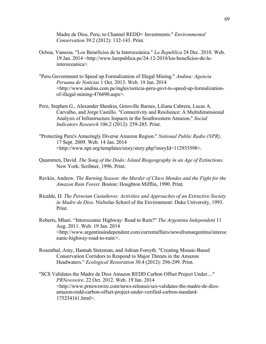Madre de Dios, Peru, to Channel REDD+ Investments." *Environmental Conservation* 39.2 (2012): 132-143. Print.

- Ochoa, Vanessa. "Los Beneficios de la Interoceánica." *La Republica* 24 Dec. 2010. Web. 19 Jan. 2014 <http://www.larepublica.pe/24-12-2010/los-beneficios-de-lainteroceanica>.
- "Peru Government to Speed up Formalization of Illegal Mining." *Andina: Agencia Peruana de Noticias* 1 Oct. 2013. Web. 19 Jan. 2014 <http://www.andina.com.pe/ingles/noticia-peru-govt-to-speed-up-formalizationof-illegal-mining-476690.aspx>.
- Perz, Stephen G., Alexander Shenkin, Grenville Barnes, Liliana Cabrera, Lucas A. Carvalho, and Jorge Castillo. "Connectivity and Resilience: A Multidimensional Analysis of Infrastructure Impacts in the Southwestern Amazon." *Social Indicators Research* 106.2 (2012): 259-285. Print.
- "Protecting Peru's Amazingly Diverse Amazon Region." *National Public Radio (NPR)*. 17 Sept. 2009. Web. 14 Jan. 2014 <http://www.npr.org/templates/story/story.php?storyId=112933598>.
- Quammen, David. *The Song of the Dodo: Island Biogeography in an Age of Extinctions*. New York: Scribner, 1996. Print.
- Revkin, Andrew. *The Burning Season: the Murder of Chico Mendes and the Fight for the Amazon Rain Forest*. Boston: Houghton Mifflin, 1990. Print.
- Ricalde, D. *The Peruvian Castañeros: Activities and Approaches of an Extractive Society in Madre de Dios*. Nicholas School of the Environment: Duke University, 1993. Print.
- Roberts, Mhari. "Interoceanic Highway: Road to Ruin?" *The Argentina Independent* 11 Aug. 2011. Web. 19 Jan. 2014 <http://www.argentinaindependent.com/currentaffairs/newsfromargentina/interoc eanic-highway-road-to-ruin/>.
- Rosenthal, Amy, Hannah Stutzman, and Adrian Forsyth. "Creating Mosaic-Based Conservation Corridors to Respond to Major Threats in the Amazon Headwaters." *Ecological Restoration* 30.4 (2012): 296-299. Print.
- "SCS Validates the Madre de Dios Amazon REDD Carbon Offset Project Under...." *PRNewswire*. 22 Oct. 2012. Web. 19 Jan. 2014 <http://www.prnewswire.com/news-releases/scs-validates-the-madre-de-diosamazon-redd-carbon-offset-project-under-verified-carbon-standard-175234161.html>.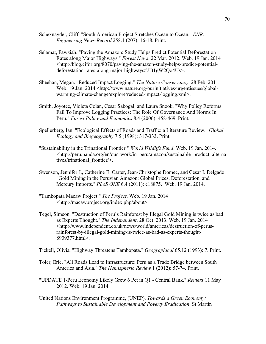- Schexnayder, Cliff. "South American Project Stretches Ocean to Ocean." *ENR: Engineering News-Record* 258.1 (207): 16-18. Print.
- Selamat, Fawziah. "Paving the Amazon: Study Helps Predict Potential Deforestation Rates along Major Highways." *Forest News*. 22 Mar. 2012. Web. 19 Jan. 2014 <http://blog.cifor.org/8070/paving-the-amazon-study-helps-predict-potentialdeforestation-rates-along-major-highways#.Ut1gW2Qo4Us>.
- Sheehan, Megan. "Reduced Impact Logging." *The Nature Conservancy*. 28 Feb. 2011. Web. 19 Jan. 2014 <http://www.nature.org/ourinitiatives/urgentissues/globalwarming-climate-change/explore/reduced-impact-logging.xml>.
- Smith, Joyotee, Violeta Colan, Cesar Sabogal, and Laura Snook. "Why Policy Reforms Fail To Improve Logging Practices: The Role Of Governance And Norms In Peru." *Forest Policy and Economics* 8.4 (2006): 458-469. Print.
- Spellerberg, Ian. "Ecological Effects of Roads and Traffic: a Literature Review." *Global Ecology and Biogeography* 7.5 (1998): 317-333. Print.
- "Sustainability in the Trinational Frontier." *World Wildlife Fund*. Web. 19 Jan. 2014. <http://peru.panda.org/en/our\_work/in\_peru/amazon/sustainable\_product\_alterna tives/trinational\_frontier/>.
- Swenson, Jennifer J., Catherine E. Carter, Jean-Christophe Domec, and Cesar I. Delgado. "Gold Mining in the Peruvian Amazon: Global Prices, Deforestation, and Mercury Imports." *PLoS ONE* 6.4 (2011): e18875. Web. 19 Jan. 2014.
- "Tambopata Macaw Project." *The Project*. Web. 19 Jan. 2014 <http://macawproject.org/index.php/about>.
- Tegel, Simeon. "Destruction of Peru's Rainforest by Illegal Gold Mining is twice as bad as Experts Thought." *The Independent*. 28 Oct. 2013. Web. 19 Jan. 2014 <http://www.independent.co.uk/news/world/americas/destruction-of-perusrainforest-by-illegal-gold-mining-is-twice-as-bad-as-experts-thought-8909377.html>.

Tickell, Olivia. "Highway Threatens Tambopata." *Geographical* 65.12 (1993): 7. Print.

- Toler, Eric. "All Roads Lead to Infrastructure: Peru as a Trade Bridge between South America and Asia." *The Hemispheric Review* 1 (2012): 57-74. Print.
- "UPDATE 1-Peru Economy Likely Grew 6 Pct in Q1 Central Bank." *Reuters* 11 May 2012. Web. 19 Jan. 2014.
- United Nations Environment Programme, (UNEP). *Towards a Green Economy: Pathways to Sustainable Development and Poverty Eradication*. St Martin